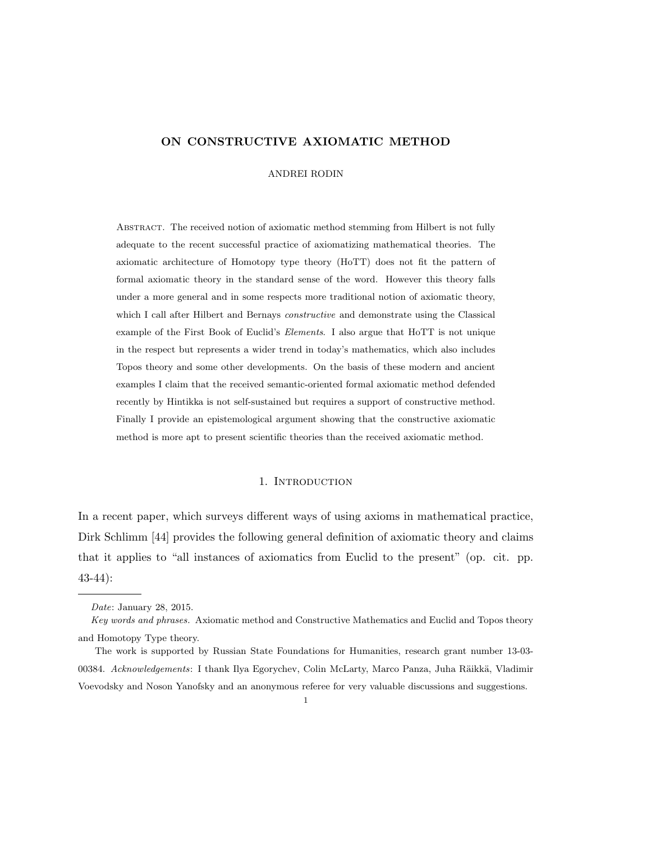#### ON CONSTRUCTIVE AXIOMATIC METHOD

ANDREI RODIN

Abstract. The received notion of axiomatic method stemming from Hilbert is not fully adequate to the recent successful practice of axiomatizing mathematical theories. The axiomatic architecture of Homotopy type theory (HoTT) does not fit the pattern of formal axiomatic theory in the standard sense of the word. However this theory falls under a more general and in some respects more traditional notion of axiomatic theory, which I call after Hilbert and Bernays *constructive* and demonstrate using the Classical example of the First Book of Euclid's *Elements*. I also argue that HoTT is not unique in the respect but represents a wider trend in today's mathematics, which also includes Topos theory and some other developments. On the basis of these modern and ancient examples I claim that the received semantic-oriented formal axiomatic method defended recently by Hintikka is not self-sustained but requires a support of constructive method. Finally I provide an epistemological argument showing that the constructive axiomatic method is more apt to present scientific theories than the received axiomatic method.

#### 1. INTRODUCTION

In a recent paper, which surveys different ways of using axioms in mathematical practice, Dirk Schlimm [44] provides the following general definition of axiomatic theory and claims that it applies to "all instances of axiomatics from Euclid to the present" (op. cit. pp. 43-44):

*Date*: January 28, 2015.

*Key words and phrases.* Axiomatic method and Constructive Mathematics and Euclid and Topos theory and Homotopy Type theory.

The work is supported by Russian State Foundations for Humanities, research grant number 13-03- 00384. *Acknowledgements*: I thank Ilya Egorychev, Colin McLarty, Marco Panza, Juha Räikkä, Vladimir Voevodsky and Noson Yanofsky and an anonymous referee for very valuable discussions and suggestions.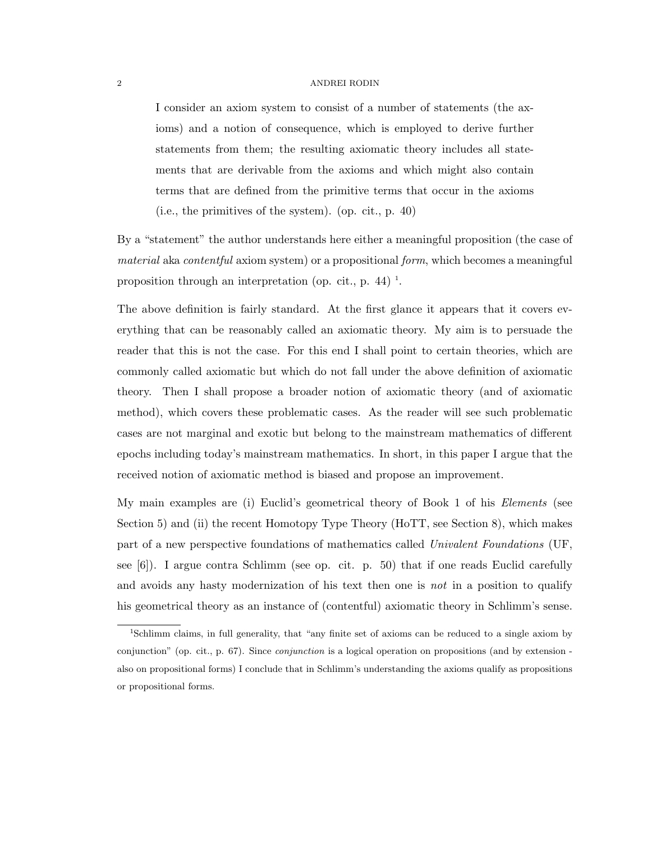I consider an axiom system to consist of a number of statements (the axioms) and a notion of consequence, which is employed to derive further statements from them; the resulting axiomatic theory includes all statements that are derivable from the axioms and which might also contain terms that are defined from the primitive terms that occur in the axioms (i.e., the primitives of the system). (op. cit., p. 40)

By a "statement" the author understands here either a meaningful proposition (the case of *material* aka *contentful* axiom system) or a propositional *form*, which becomes a meaningful proposition through an interpretation (op. cit., p. 44)<sup> $1$ </sup>.

The above definition is fairly standard. At the first glance it appears that it covers everything that can be reasonably called an axiomatic theory. My aim is to persuade the reader that this is not the case. For this end I shall point to certain theories, which are commonly called axiomatic but which do not fall under the above definition of axiomatic theory. Then I shall propose a broader notion of axiomatic theory (and of axiomatic method), which covers these problematic cases. As the reader will see such problematic cases are not marginal and exotic but belong to the mainstream mathematics of different epochs including today's mainstream mathematics. In short, in this paper I argue that the received notion of axiomatic method is biased and propose an improvement.

My main examples are (i) Euclid's geometrical theory of Book 1 of his *Elements* (see Section 5) and (ii) the recent Homotopy Type Theory (HoTT, see Section 8), which makes part of a new perspective foundations of mathematics called *Univalent Foundations* (UF, see [6]). I argue contra Schlimm (see op. cit. p. 50) that if one reads Euclid carefully and avoids any hasty modernization of his text then one is *not* in a position to qualify his geometrical theory as an instance of (contentful) axiomatic theory in Schlimm's sense.

<sup>1</sup>Schlimm claims, in full generality, that "any finite set of axioms can be reduced to a single axiom by conjunction" (op. cit., p. 67). Since *conjunction* is a logical operation on propositions (and by extension also on propositional forms) I conclude that in Schlimm's understanding the axioms qualify as propositions or propositional forms.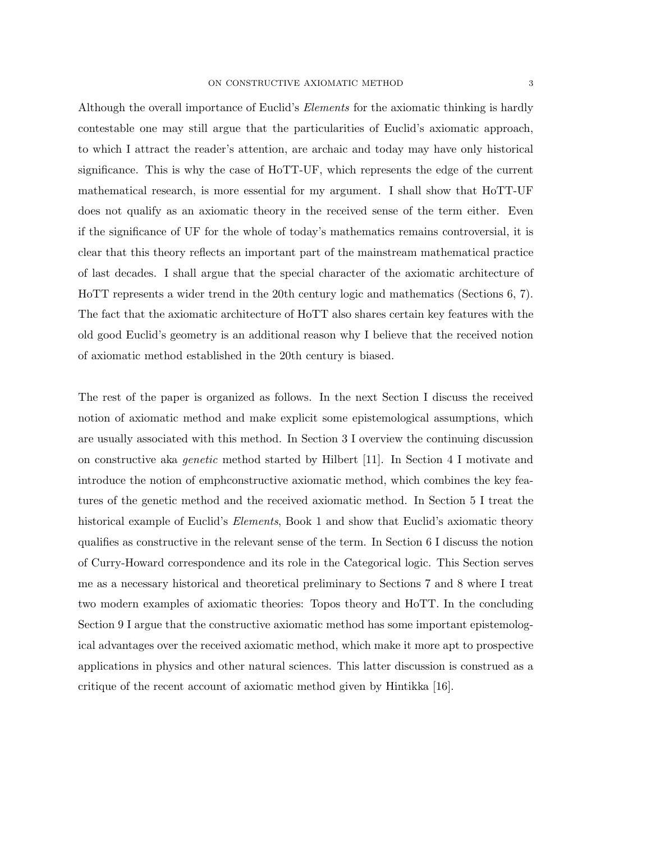Although the overall importance of Euclid's *Elements* for the axiomatic thinking is hardly contestable one may still argue that the particularities of Euclid's axiomatic approach, to which I attract the reader's attention, are archaic and today may have only historical significance. This is why the case of HoTT-UF, which represents the edge of the current mathematical research, is more essential for my argument. I shall show that HoTT-UF does not qualify as an axiomatic theory in the received sense of the term either. Even if the significance of UF for the whole of today's mathematics remains controversial, it is clear that this theory reflects an important part of the mainstream mathematical practice of last decades. I shall argue that the special character of the axiomatic architecture of HoTT represents a wider trend in the 20th century logic and mathematics (Sections 6, 7). The fact that the axiomatic architecture of HoTT also shares certain key features with the old good Euclid's geometry is an additional reason why I believe that the received notion of axiomatic method established in the 20th century is biased.

The rest of the paper is organized as follows. In the next Section I discuss the received notion of axiomatic method and make explicit some epistemological assumptions, which are usually associated with this method. In Section 3 I overview the continuing discussion on constructive aka *genetic* method started by Hilbert [11]. In Section 4 I motivate and introduce the notion of emphconstructive axiomatic method, which combines the key features of the genetic method and the received axiomatic method. In Section 5 I treat the historical example of Euclid's *Elements*, Book 1 and show that Euclid's axiomatic theory qualifies as constructive in the relevant sense of the term. In Section 6 I discuss the notion of Curry-Howard correspondence and its role in the Categorical logic. This Section serves me as a necessary historical and theoretical preliminary to Sections 7 and 8 where I treat two modern examples of axiomatic theories: Topos theory and HoTT. In the concluding Section 9 I argue that the constructive axiomatic method has some important epistemological advantages over the received axiomatic method, which make it more apt to prospective applications in physics and other natural sciences. This latter discussion is construed as a critique of the recent account of axiomatic method given by Hintikka [16].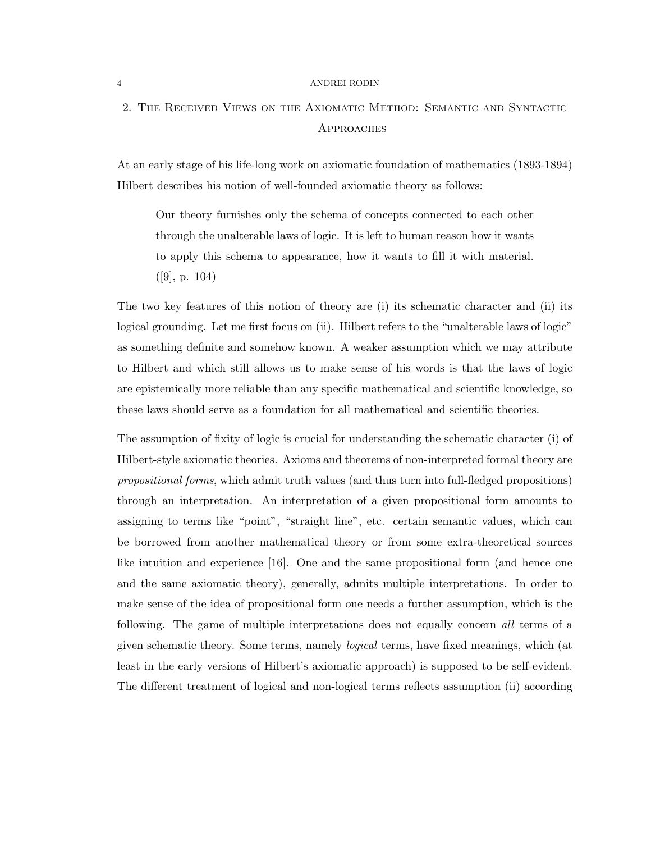## 2. The Received Views on the Axiomatic Method: Semantic and Syntactic **APPROACHES**

At an early stage of his life-long work on axiomatic foundation of mathematics (1893-1894) Hilbert describes his notion of well-founded axiomatic theory as follows:

Our theory furnishes only the schema of concepts connected to each other through the unalterable laws of logic. It is left to human reason how it wants to apply this schema to appearance, how it wants to fill it with material.  $([9], p. 104)$ 

The two key features of this notion of theory are (i) its schematic character and (ii) its logical grounding. Let me first focus on (ii). Hilbert refers to the "unalterable laws of logic" as something definite and somehow known. A weaker assumption which we may attribute to Hilbert and which still allows us to make sense of his words is that the laws of logic are epistemically more reliable than any specific mathematical and scientific knowledge, so these laws should serve as a foundation for all mathematical and scientific theories.

The assumption of fixity of logic is crucial for understanding the schematic character (i) of Hilbert-style axiomatic theories. Axioms and theorems of non-interpreted formal theory are *propositional forms*, which admit truth values (and thus turn into full-fledged propositions) through an interpretation. An interpretation of a given propositional form amounts to assigning to terms like "point", "straight line", etc. certain semantic values, which can be borrowed from another mathematical theory or from some extra-theoretical sources like intuition and experience [16]. One and the same propositional form (and hence one and the same axiomatic theory), generally, admits multiple interpretations. In order to make sense of the idea of propositional form one needs a further assumption, which is the following. The game of multiple interpretations does not equally concern *all* terms of a given schematic theory. Some terms, namely *logical* terms, have fixed meanings, which (at least in the early versions of Hilbert's axiomatic approach) is supposed to be self-evident. The different treatment of logical and non-logical terms reflects assumption (ii) according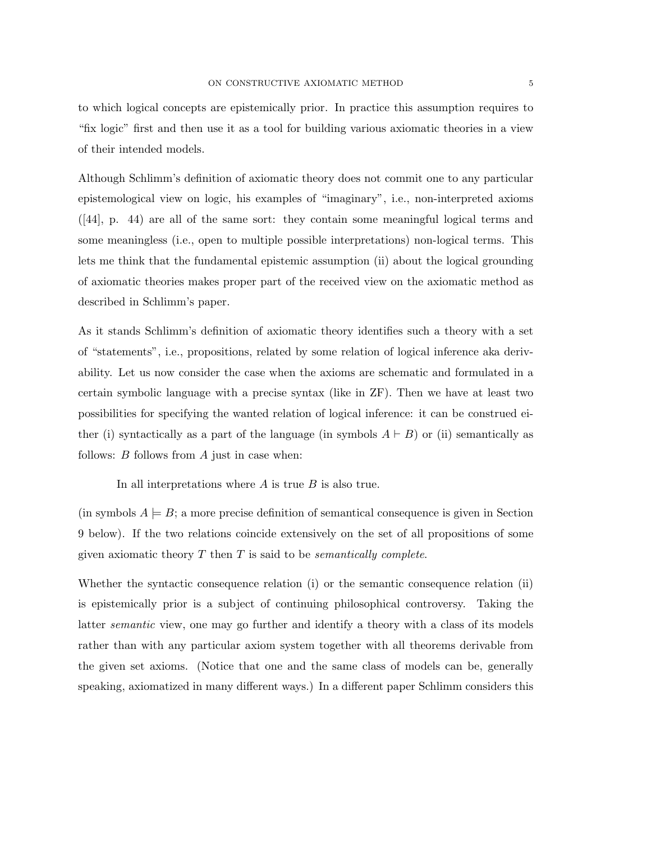to which logical concepts are epistemically prior. In practice this assumption requires to "fix logic" first and then use it as a tool for building various axiomatic theories in a view

of their intended models.

Although Schlimm's definition of axiomatic theory does not commit one to any particular epistemological view on logic, his examples of "imaginary", i.e., non-interpreted axioms ([44], p. 44) are all of the same sort: they contain some meaningful logical terms and some meaningless (i.e., open to multiple possible interpretations) non-logical terms. This lets me think that the fundamental epistemic assumption (ii) about the logical grounding of axiomatic theories makes proper part of the received view on the axiomatic method as described in Schlimm's paper.

As it stands Schlimm's definition of axiomatic theory identifies such a theory with a set of "statements", i.e., propositions, related by some relation of logical inference aka derivability. Let us now consider the case when the axioms are schematic and formulated in a certain symbolic language with a precise syntax (like in ZF). Then we have at least two possibilities for specifying the wanted relation of logical inference: it can be construed either (i) syntactically as a part of the language (in symbols  $A \vdash B$ ) or (ii) semantically as follows: *B* follows from *A* just in case when:

In all interpretations where *A* is true *B* is also true.

(in symbols  $A \models B$ ; a more precise definition of semantical consequence is given in Section 9 below). If the two relations coincide extensively on the set of all propositions of some given axiomatic theory *T* then *T* is said to be *semantically complete*.

Whether the syntactic consequence relation (i) or the semantic consequence relation (ii) is epistemically prior is a subject of continuing philosophical controversy. Taking the latter *semantic* view, one may go further and identify a theory with a class of its models rather than with any particular axiom system together with all theorems derivable from the given set axioms. (Notice that one and the same class of models can be, generally speaking, axiomatized in many different ways.) In a different paper Schlimm considers this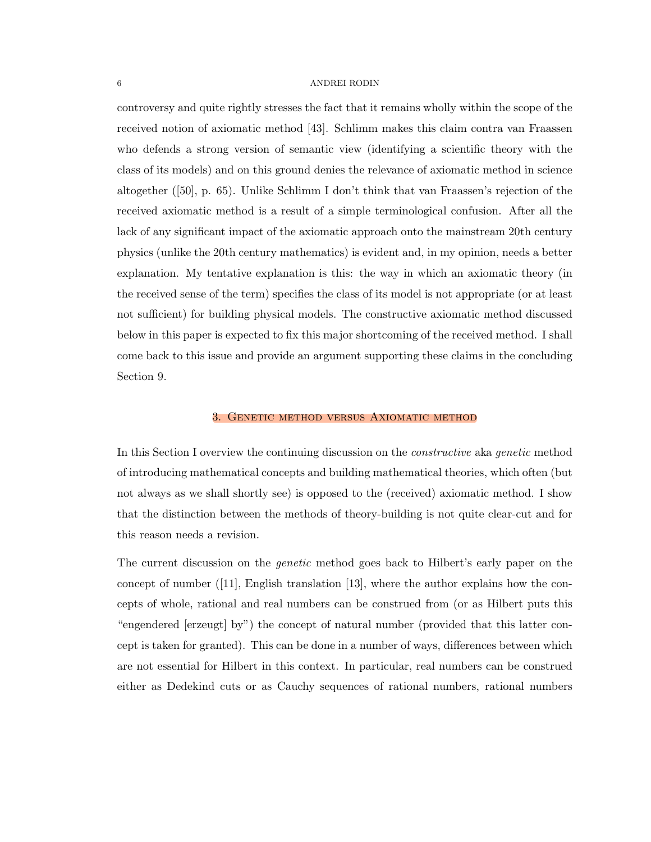controversy and quite rightly stresses the fact that it remains wholly within the scope of the received notion of axiomatic method [43]. Schlimm makes this claim contra van Fraassen who defends a strong version of semantic view (identifying a scientific theory with the class of its models) and on this ground denies the relevance of axiomatic method in science altogether ([50], p. 65). Unlike Schlimm I don't think that van Fraassen's rejection of the received axiomatic method is a result of a simple terminological confusion. After all the lack of any significant impact of the axiomatic approach onto the mainstream 20th century physics (unlike the 20th century mathematics) is evident and, in my opinion, needs a better explanation. My tentative explanation is this: the way in which an axiomatic theory (in the received sense of the term) specifies the class of its model is not appropriate (or at least not sufficient) for building physical models. The constructive axiomatic method discussed below in this paper is expected to fix this major shortcoming of the received method. I shall come back to this issue and provide an argument supporting these claims in the concluding Section 9.

#### 3. Genetic method versus Axiomatic method

In this Section I overview the continuing discussion on the *constructive* aka *genetic* method of introducing mathematical concepts and building mathematical theories, which often (but not always as we shall shortly see) is opposed to the (received) axiomatic method. I show that the distinction between the methods of theory-building is not quite clear-cut and for this reason needs a revision.

The current discussion on the *genetic* method goes back to Hilbert's early paper on the concept of number ([11], English translation [13], where the author explains how the concepts of whole, rational and real numbers can be construed from (or as Hilbert puts this "engendered [erzeugt] by") the concept of natural number (provided that this latter concept is taken for granted). This can be done in a number of ways, differences between which are not essential for Hilbert in this context. In particular, real numbers can be construed either as Dedekind cuts or as Cauchy sequences of rational numbers, rational numbers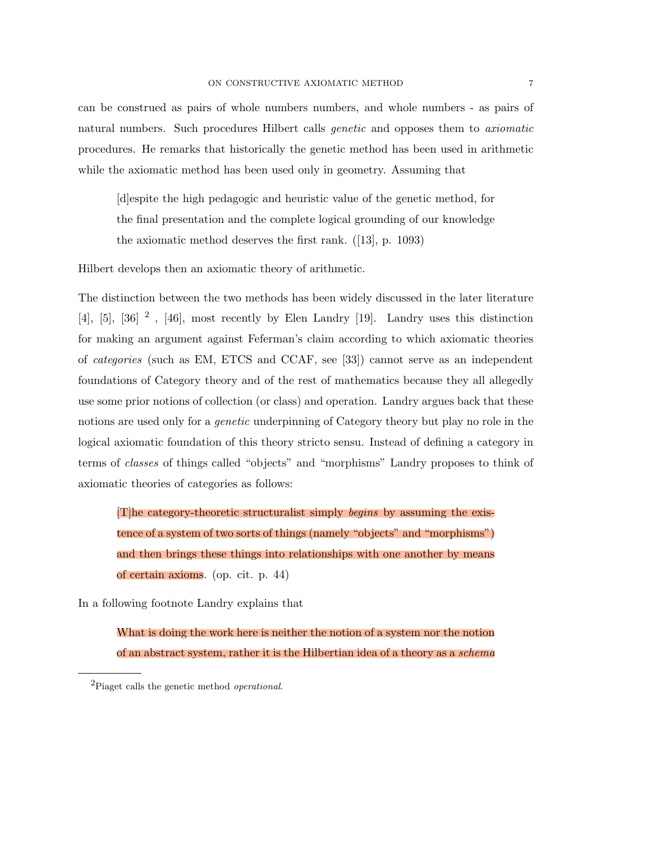can be construed as pairs of whole numbers numbers, and whole numbers - as pairs of natural numbers. Such procedures Hilbert calls *genetic* and opposes them to *axiomatic* procedures. He remarks that historically the genetic method has been used in arithmetic while the axiomatic method has been used only in geometry. Assuming that

[d]espite the high pedagogic and heuristic value of the genetic method, for the final presentation and the complete logical grounding of our knowledge the axiomatic method deserves the first rank. ([13], p. 1093)

Hilbert develops then an axiomatic theory of arithmetic.

The distinction between the two methods has been widely discussed in the later literature [4], [5], [36]  $^2$ , [46], most recently by Elen Landry [19]. Landry uses this distinction for making an argument against Feferman's claim according to which axiomatic theories of *categories* (such as EM, ETCS and CCAF, see [33]) cannot serve as an independent foundations of Category theory and of the rest of mathematics because they all allegedly use some prior notions of collection (or class) and operation. Landry argues back that these notions are used only for a *genetic* underpinning of Category theory but play no role in the logical axiomatic foundation of this theory stricto sensu. Instead of defining a category in terms of *classes* of things called "objects" and "morphisms" Landry proposes to think of axiomatic theories of categories as follows:

[T]he category-theoretic structuralist simply *begins* by assuming the existence of a system of two sorts of things (namely "objects" and "morphisms") and then brings these things into relationships with one another by means of certain axioms. (op. cit. p. 44)

In a following footnote Landry explains that

What is doing the work here is neither the notion of a system nor the notion of an abstract system, rather it is the Hilbertian idea of a theory as a *schema*

<sup>2</sup>Piaget calls the genetic method *operational*.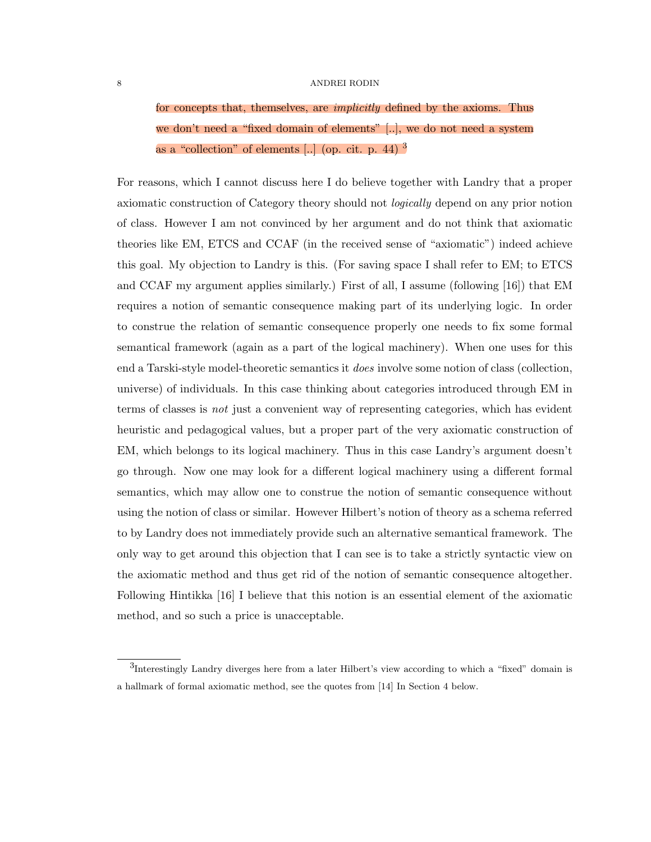for concepts that, themselves, are *implicitly* defined by the axioms. Thus we don't need a "fixed domain of elements" [..], we do not need a system as a "collection" of elements [..] (op. cit. p. 44)<sup>3</sup>

For reasons, which I cannot discuss here I do believe together with Landry that a proper axiomatic construction of Category theory should not *logically* depend on any prior notion of class. However I am not convinced by her argument and do not think that axiomatic theories like EM, ETCS and CCAF (in the received sense of "axiomatic") indeed achieve this goal. My objection to Landry is this. (For saving space I shall refer to EM; to ETCS and CCAF my argument applies similarly.) First of all, I assume (following [16]) that EM requires a notion of semantic consequence making part of its underlying logic. In order to construe the relation of semantic consequence properly one needs to fix some formal semantical framework (again as a part of the logical machinery). When one uses for this end a Tarski-style model-theoretic semantics it *does* involve some notion of class (collection, universe) of individuals. In this case thinking about categories introduced through EM in terms of classes is *not* just a convenient way of representing categories, which has evident heuristic and pedagogical values, but a proper part of the very axiomatic construction of EM, which belongs to its logical machinery. Thus in this case Landry's argument doesn't go through. Now one may look for a different logical machinery using a different formal semantics, which may allow one to construe the notion of semantic consequence without using the notion of class or similar. However Hilbert's notion of theory as a schema referred to by Landry does not immediately provide such an alternative semantical framework. The only way to get around this objection that I can see is to take a strictly syntactic view on the axiomatic method and thus get rid of the notion of semantic consequence altogether. Following Hintikka [16] I believe that this notion is an essential element of the axiomatic method, and so such a price is unacceptable.

<sup>3</sup>Interestingly Landry diverges here from a later Hilbert's view according to which a "fixed" domain is a hallmark of formal axiomatic method, see the quotes from [14] In Section 4 below.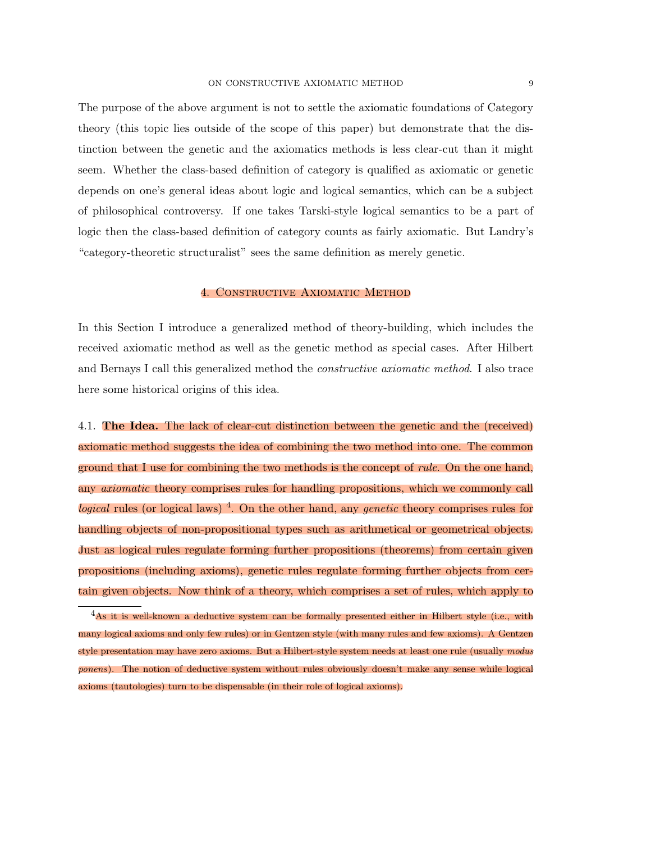The purpose of the above argument is not to settle the axiomatic foundations of Category theory (this topic lies outside of the scope of this paper) but demonstrate that the distinction between the genetic and the axiomatics methods is less clear-cut than it might seem. Whether the class-based definition of category is qualified as axiomatic or genetic depends on one's general ideas about logic and logical semantics, which can be a subject of philosophical controversy. If one takes Tarski-style logical semantics to be a part of logic then the class-based definition of category counts as fairly axiomatic. But Landry's "category-theoretic structuralist" sees the same definition as merely genetic.

#### 4. Constructive Axiomatic Method

In this Section I introduce a generalized method of theory-building, which includes the received axiomatic method as well as the genetic method as special cases. After Hilbert and Bernays I call this generalized method the *constructive axiomatic method*. I also trace here some historical origins of this idea.

4.1. **The Idea.** The lack of clear-cut distinction between the genetic and the (received) axiomatic method suggests the idea of combining the two method into one. The common ground that I use for combining the two methods is the concept of *rule*. On the one hand, any *axiomatic* theory comprises rules for handling propositions, which we commonly call *logical* rules (or logical laws)<sup>4</sup>. On the other hand, any *genetic* theory comprises rules for handling objects of non-propositional types such as arithmetical or geometrical objects. Just as logical rules regulate forming further propositions (theorems) from certain given propositions (including axioms), genetic rules regulate forming further objects from certain given objects. Now think of a theory, which comprises a set of rules, which apply to

 ${}^{4}$ As it is well-known a deductive system can be formally presented either in Hilbert style (i.e., with many logical axioms and only few rules) or in Gentzen style (with many rules and few axioms). A Gentzen style presentation may have zero axioms. But a Hilbert-style system needs at least one rule (usually *modus ponens*). The notion of deductive system without rules obviously doesn't make any sense while logical axioms (tautologies) turn to be dispensable (in their role of logical axioms).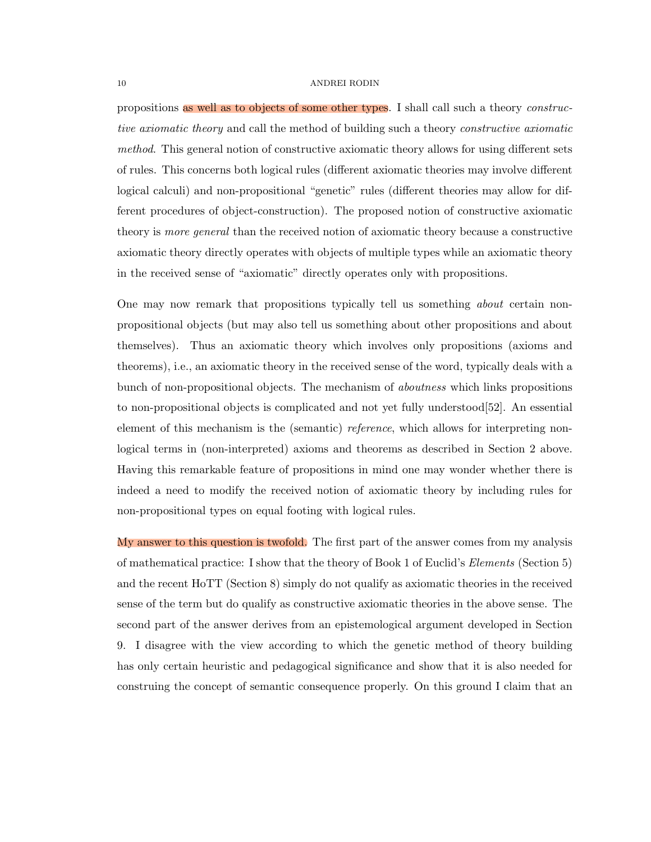propositions as well as to objects of some other types. I shall call such a theory *constructive axiomatic theory* and call the method of building such a theory *constructive axiomatic method*. This general notion of constructive axiomatic theory allows for using different sets of rules. This concerns both logical rules (different axiomatic theories may involve different logical calculi) and non-propositional "genetic" rules (different theories may allow for different procedures of object-construction). The proposed notion of constructive axiomatic theory is *more general* than the received notion of axiomatic theory because a constructive axiomatic theory directly operates with objects of multiple types while an axiomatic theory in the received sense of "axiomatic" directly operates only with propositions.

One may now remark that propositions typically tell us something *about* certain nonpropositional objects (but may also tell us something about other propositions and about themselves). Thus an axiomatic theory which involves only propositions (axioms and theorems), i.e., an axiomatic theory in the received sense of the word, typically deals with a bunch of non-propositional objects. The mechanism of *aboutness* which links propositions to non-propositional objects is complicated and not yet fully understood[52]. An essential element of this mechanism is the (semantic) *reference*, which allows for interpreting nonlogical terms in (non-interpreted) axioms and theorems as described in Section 2 above. Having this remarkable feature of propositions in mind one may wonder whether there is indeed a need to modify the received notion of axiomatic theory by including rules for non-propositional types on equal footing with logical rules.

My answer to this question is twofold. The first part of the answer comes from my analysis of mathematical practice: I show that the theory of Book 1 of Euclid's *Elements* (Section 5) and the recent HoTT (Section 8) simply do not qualify as axiomatic theories in the received sense of the term but do qualify as constructive axiomatic theories in the above sense. The second part of the answer derives from an epistemological argument developed in Section 9. I disagree with the view according to which the genetic method of theory building has only certain heuristic and pedagogical significance and show that it is also needed for construing the concept of semantic consequence properly. On this ground I claim that an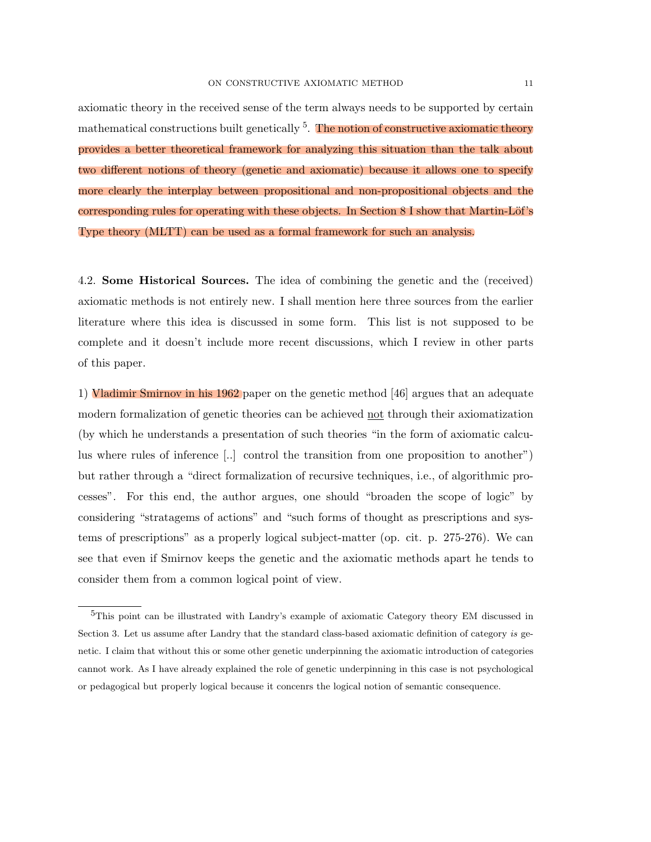axiomatic theory in the received sense of the term always needs to be supported by certain mathematical constructions built genetically  $5$ . The notion of constructive axiomatic theory provides a better theoretical framework for analyzing this situation than the talk about two different notions of theory (genetic and axiomatic) because it allows one to specify more clearly the interplay between propositional and non-propositional objects and the corresponding rules for operating with these objects. In Section  $8$  I show that Martin-Löf's Type theory (MLTT) can be used as a formal framework for such an analysis.

4.2. Some Historical Sources. The idea of combining the genetic and the (received) axiomatic methods is not entirely new. I shall mention here three sources from the earlier literature where this idea is discussed in some form. This list is not supposed to be complete and it doesn't include more recent discussions, which I review in other parts of this paper.

1) Vladimir Smirnov in his 1962 paper on the genetic method [46] argues that an adequate modern formalization of genetic theories can be achieved not through their axiomatization (by which he understands a presentation of such theories "in the form of axiomatic calculus where rules of inference [..] control the transition from one proposition to another") but rather through a "direct formalization of recursive techniques, i.e., of algorithmic processes". For this end, the author argues, one should "broaden the scope of logic" by considering "stratagems of actions" and "such forms of thought as prescriptions and systems of prescriptions" as a properly logical subject-matter (op. cit. p. 275-276). We can see that even if Smirnov keeps the genetic and the axiomatic methods apart he tends to consider them from a common logical point of view.

<sup>5</sup>This point can be illustrated with Landry's example of axiomatic Category theory EM discussed in Section 3. Let us assume after Landry that the standard class-based axiomatic definition of category *is* genetic. I claim that without this or some other genetic underpinning the axiomatic introduction of categories cannot work. As I have already explained the role of genetic underpinning in this case is not psychological or pedagogical but properly logical because it concenrs the logical notion of semantic consequence.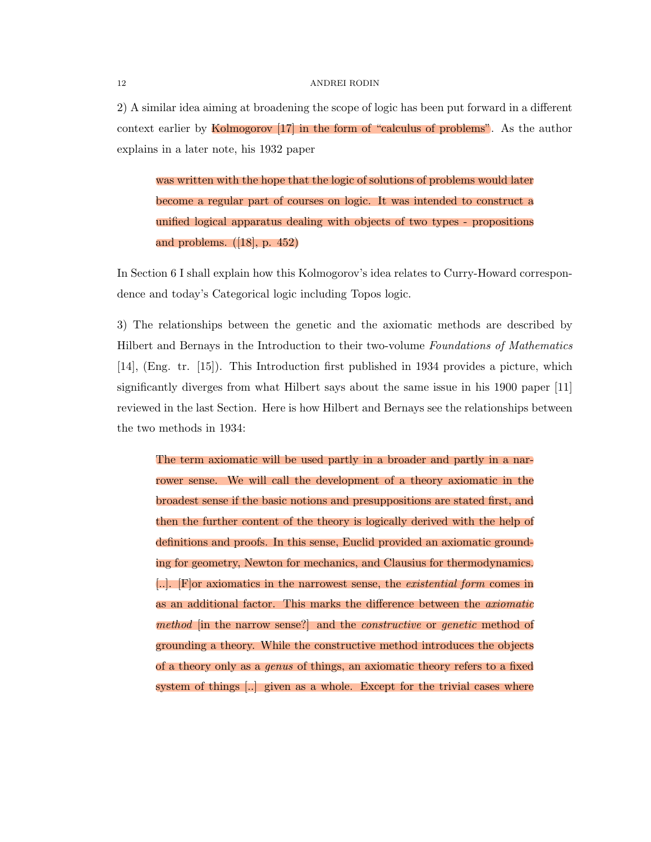$2)$  A similar idea aiming at broadening the scope of logic has been put forward in a different context earlier by Kolmogorov [17] in the form of "calculus of problems". As the author explains in a later note, his 1932 paper

was written with the hope that the logic of solutions of problems would later become a regular part of courses on logic. It was intended to construct a unified logical apparatus dealing with objects of two types - propositions and problems. ([18], p. 452)

In Section 6 I shall explain how this Kolmogorov's idea relates to Curry-Howard correspondence and today's Categorical logic including Topos logic.

3) The relationships between the genetic and the axiomatic methods are described by Hilbert and Bernays in the Introduction to their two-volume *Foundations of Mathematics* [14], (Eng. tr. [15]). This Introduction first published in 1934 provides a picture, which significantly diverges from what Hilbert says about the same issue in his 1900 paper [11] reviewed in the last Section. Here is how Hilbert and Bernays see the relationships between the two methods in 1934:

The term axiomatic will be used partly in a broader and partly in a narrower sense. We will call the development of a theory axiomatic in the broadest sense if the basic notions and presuppositions are stated first, and then the further content of the theory is logically derived with the help of definitions and proofs. In this sense, Euclid provided an axiomatic grounding for geometry, Newton for mechanics, and Clausius for thermodynamics. [..]. [F]or axiomatics in the narrowest sense, the *existential form* comes in as an additional factor. This marks the difference between the *axiomatic method* [in the narrow sense?] and the *constructive* or *genetic* method of grounding a theory. While the constructive method introduces the objects of a theory only as a *genus* of things, an axiomatic theory refers to a fixed system of things [..] given as a whole. Except for the trivial cases where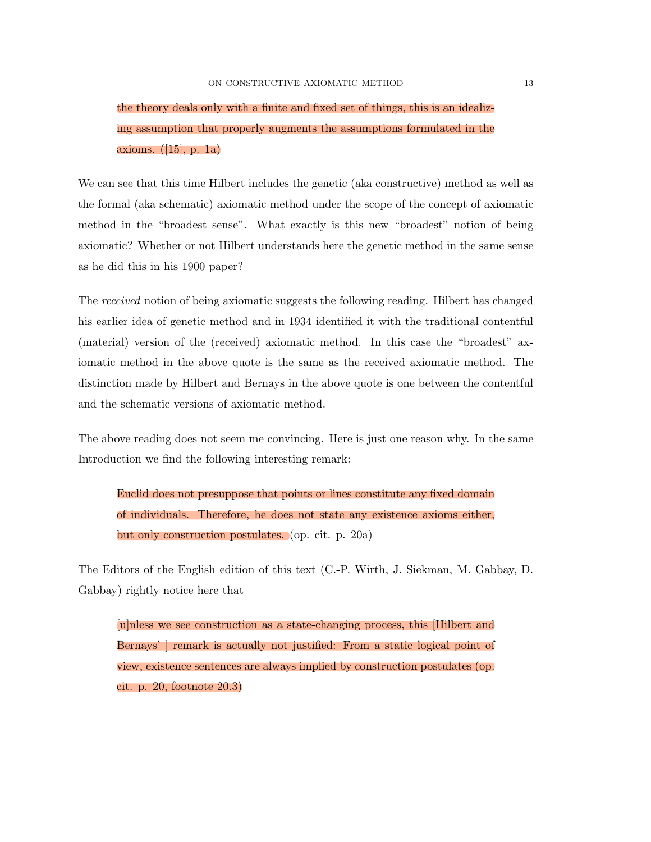## the theory deals only with a finite and fixed set of things, this is an idealizing assumption that properly augments the assumptions formulated in the axioms. ([15], p. 1a)

We can see that this time Hilbert includes the genetic (aka constructive) method as well as the formal (aka schematic) axiomatic method under the scope of the concept of axiomatic method in the "broadest sense". What exactly is this new "broadest" notion of being axiomatic? Whether or not Hilbert understands here the genetic method in the same sense as he did this in his 1900 paper?

The *received* notion of being axiomatic suggests the following reading. Hilbert has changed his earlier idea of genetic method and in 1934 identified it with the traditional contentful (material) version of the (received) axiomatic method. In this case the "broadest" axiomatic method in the above quote is the same as the received axiomatic method. The distinction made by Hilbert and Bernays in the above quote is one between the contentful and the schematic versions of axiomatic method.

The above reading does not seem me convincing. Here is just one reason why. In the same Introduction we find the following interesting remark:

Euclid does not presuppose that points or lines constitute any fixed domain of individuals. Therefore, he does not state any existence axioms either, but only construction postulates. (op. cit. p. 20a)

The Editors of the English edition of this text (C.-P. Wirth, J. Siekman, M. Gabbay, D. Gabbay) rightly notice here that

[u]nless we see construction as a state-changing process, this [Hilbert and Bernays' ] remark is actually not justified: From a static logical point of view, existence sentences are always implied by construction postulates (op. cit. p. 20, footnote 20.3)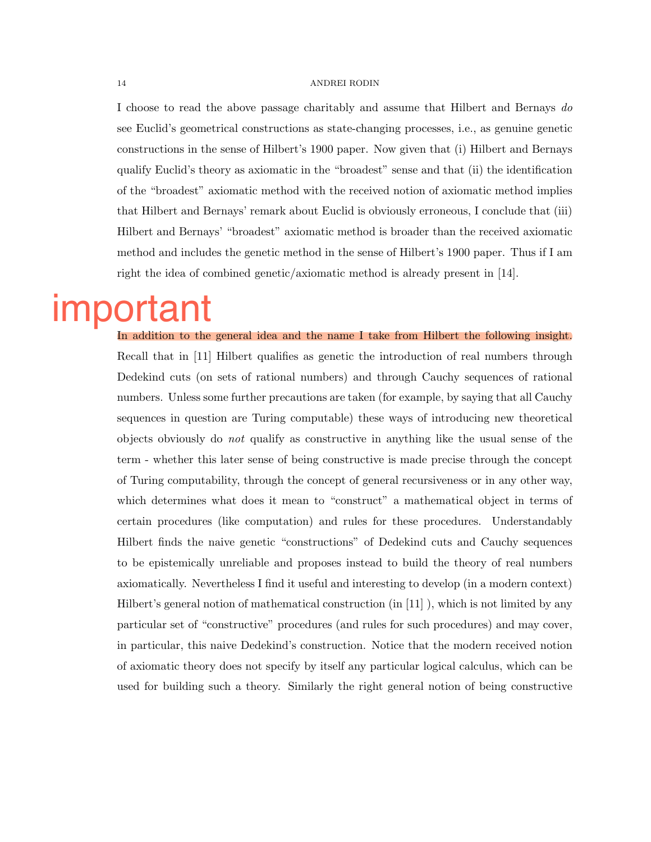I choose to read the above passage charitably and assume that Hilbert and Bernays *do* see Euclid's geometrical constructions as state-changing processes, i.e., as genuine genetic constructions in the sense of Hilbert's 1900 paper. Now given that (i) Hilbert and Bernays qualify Euclid's theory as axiomatic in the "broadest" sense and that (ii) the identification of the "broadest" axiomatic method with the received notion of axiomatic method implies that Hilbert and Bernays' remark about Euclid is obviously erroneous, I conclude that (iii) Hilbert and Bernays' "broadest" axiomatic method is broader than the received axiomatic method and includes the genetic method in the sense of Hilbert's 1900 paper. Thus if I am right the idea of combined genetic/axiomatic method is already present in [14].

## important

In addition to the general idea and the name I take from Hilbert the following insight. Recall that in [11] Hilbert qualifies as genetic the introduction of real numbers through Dedekind cuts (on sets of rational numbers) and through Cauchy sequences of rational numbers. Unless some further precautions are taken (for example, by saying that all Cauchy sequences in question are Turing computable) these ways of introducing new theoretical objects obviously do *not* qualify as constructive in anything like the usual sense of the term - whether this later sense of being constructive is made precise through the concept of Turing computability, through the concept of general recursiveness or in any other way, which determines what does it mean to "construct" a mathematical object in terms of certain procedures (like computation) and rules for these procedures. Understandably Hilbert finds the naive genetic "constructions" of Dedekind cuts and Cauchy sequences to be epistemically unreliable and proposes instead to build the theory of real numbers axiomatically. Nevertheless I find it useful and interesting to develop (in a modern context) Hilbert's general notion of mathematical construction (in [11] ), which is not limited by any particular set of "constructive" procedures (and rules for such procedures) and may cover, in particular, this naive Dedekind's construction. Notice that the modern received notion of axiomatic theory does not specify by itself any particular logical calculus, which can be used for building such a theory. Similarly the right general notion of being constructive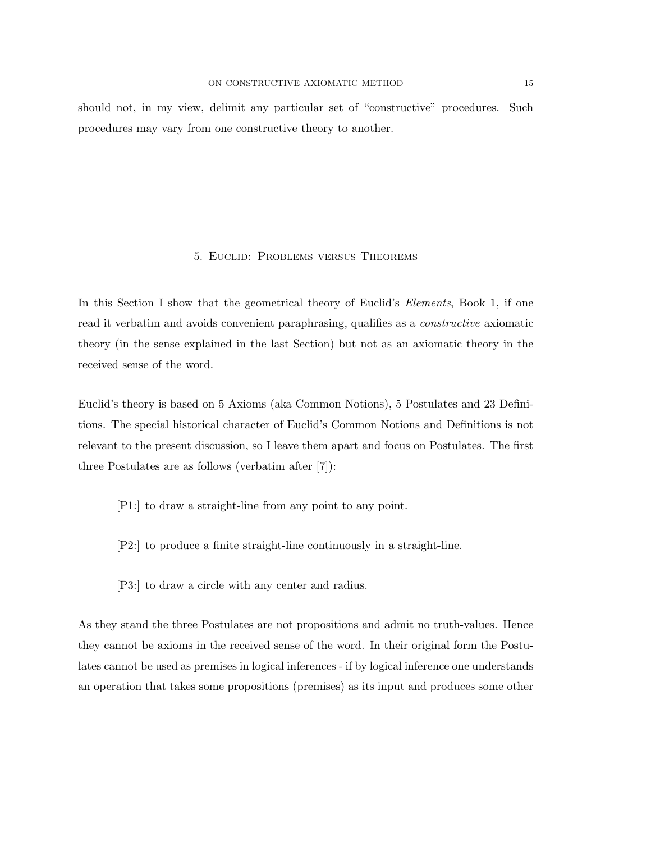should not, in my view, delimit any particular set of "constructive" procedures. Such procedures may vary from one constructive theory to another.

#### 5. Euclid: Problems versus Theorems

In this Section I show that the geometrical theory of Euclid's *Elements*, Book 1, if one read it verbatim and avoids convenient paraphrasing, qualifies as a *constructive* axiomatic theory (in the sense explained in the last Section) but not as an axiomatic theory in the received sense of the word.

Euclid's theory is based on 5 Axioms (aka Common Notions), 5 Postulates and 23 Definitions. The special historical character of Euclid's Common Notions and Definitions is not relevant to the present discussion, so I leave them apart and focus on Postulates. The first three Postulates are as follows (verbatim after [7]):

- [P1:] to draw a straight-line from any point to any point.
- [P2:] to produce a finite straight-line continuously in a straight-line.
- [P3:] to draw a circle with any center and radius.

As they stand the three Postulates are not propositions and admit no truth-values. Hence they cannot be axioms in the received sense of the word. In their original form the Postulates cannot be used as premises in logical inferences - if by logical inference one understands an operation that takes some propositions (premises) as its input and produces some other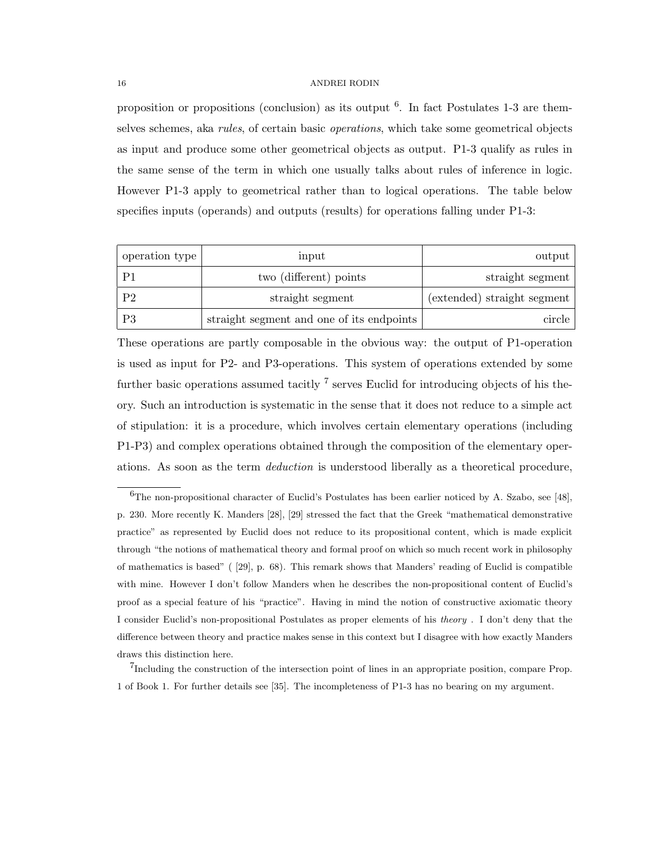proposition or propositions (conclusion) as its output  $6$ . In fact Postulates 1-3 are themselves schemes, aka *rules*, of certain basic *operations*, which take some geometrical objects as input and produce some other geometrical objects as output. P1-3 qualify as rules in the same sense of the term in which one usually talks about rules of inference in logic. However P1-3 apply to geometrical rather than to logical operations. The table below specifies inputs (operands) and outputs (results) for operations falling under P1-3:

| operation type | input                                     | output                      |
|----------------|-------------------------------------------|-----------------------------|
| P <sub>1</sub> | two (different) points                    | straight segment            |
| P <sub>2</sub> | straight segment                          | (extended) straight segment |
| P3             | straight segment and one of its endpoints | circle                      |

These operations are partly composable in the obvious way: the output of P1-operation is used as input for P2- and P3-operations. This system of operations extended by some further basic operations assumed tacitly  $^7$  serves Euclid for introducing objects of his theory. Such an introduction is systematic in the sense that it does not reduce to a simple act of stipulation: it is a procedure, which involves certain elementary operations (including P1-P3) and complex operations obtained through the composition of the elementary operations. As soon as the term *deduction* is understood liberally as a theoretical procedure,

 $6$ The non-propositional character of Euclid's Postulates has been earlier noticed by A. Szabo, see [48], p. 230. More recently K. Manders [28], [29] stressed the fact that the Greek "mathematical demonstrative practice" as represented by Euclid does not reduce to its propositional content, which is made explicit through "the notions of mathematical theory and formal proof on which so much recent work in philosophy of mathematics is based" ( [29], p. 68). This remark shows that Manders' reading of Euclid is compatible with mine. However I don't follow Manders when he describes the non-propositional content of Euclid's proof as a special feature of his "practice". Having in mind the notion of constructive axiomatic theory I consider Euclid's non-propositional Postulates as proper elements of his *theory* . I don't deny that the difference between theory and practice makes sense in this context but I disagree with how exactly Manders draws this distinction here.

<sup>7</sup>Including the construction of the intersection point of lines in an appropriate position, compare Prop. 1 of Book 1. For further details see [35]. The incompleteness of P1-3 has no bearing on my argument.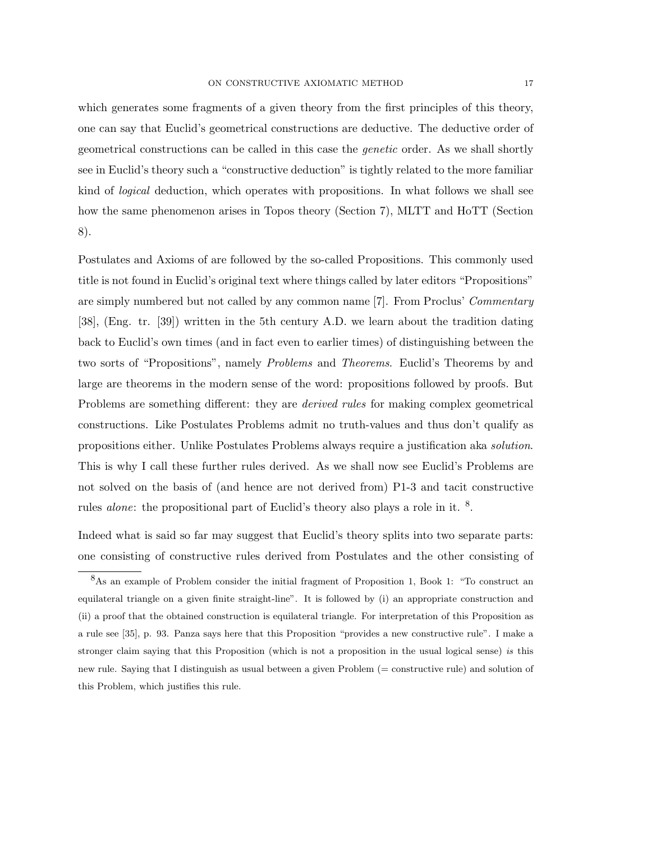which generates some fragments of a given theory from the first principles of this theory, one can say that Euclid's geometrical constructions are deductive. The deductive order of geometrical constructions can be called in this case the *genetic* order. As we shall shortly see in Euclid's theory such a "constructive deduction" is tightly related to the more familiar kind of *logical* deduction, which operates with propositions. In what follows we shall see how the same phenomenon arises in Topos theory (Section 7), MLTT and HoTT (Section 8).

Postulates and Axioms of are followed by the so-called Propositions. This commonly used title is not found in Euclid's original text where things called by later editors "Propositions" are simply numbered but not called by any common name [7]. From Proclus' *Commentary* [38], (Eng. tr. [39]) written in the 5th century A.D. we learn about the tradition dating back to Euclid's own times (and in fact even to earlier times) of distinguishing between the two sorts of "Propositions", namely *Problems* and *Theorems*. Euclid's Theorems by and large are theorems in the modern sense of the word: propositions followed by proofs. But Problems are something different: they are *derived rules* for making complex geometrical constructions. Like Postulates Problems admit no truth-values and thus don't qualify as propositions either. Unlike Postulates Problems always require a justification aka *solution*. This is why I call these further rules derived. As we shall now see Euclid's Problems are not solved on the basis of (and hence are not derived from) P1-3 and tacit constructive rules *alone*: the propositional part of Euclid's theory also plays a role in it. <sup>8</sup>.

Indeed what is said so far may suggest that Euclid's theory splits into two separate parts: one consisting of constructive rules derived from Postulates and the other consisting of

<sup>8</sup>As an example of Problem consider the initial fragment of Proposition 1, Book 1: "To construct an equilateral triangle on a given finite straight-line". It is followed by (i) an appropriate construction and (ii) a proof that the obtained construction is equilateral triangle. For interpretation of this Proposition as a rule see [35], p. 93. Panza says here that this Proposition "provides a new constructive rule". I make a stronger claim saying that this Proposition (which is not a proposition in the usual logical sense) *is* this new rule. Saying that I distinguish as usual between a given Problem (= constructive rule) and solution of this Problem, which justifies this rule.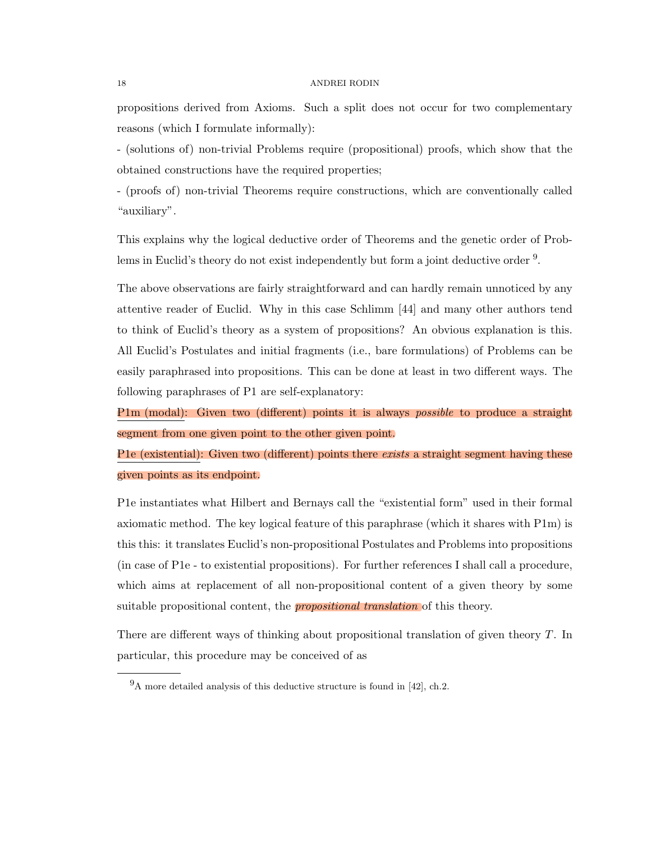propositions derived from Axioms. Such a split does not occur for two complementary reasons (which I formulate informally):

- (solutions of) non-trivial Problems require (propositional) proofs, which show that the obtained constructions have the required properties;

- (proofs of) non-trivial Theorems require constructions, which are conventionally called "auxiliary".

This explains why the logical deductive order of Theorems and the genetic order of Problems in Euclid's theory do not exist independently but form a joint deductive order <sup>9</sup>.

The above observations are fairly straightforward and can hardly remain unnoticed by any attentive reader of Euclid. Why in this case Schlimm [44] and many other authors tend to think of Euclid's theory as a system of propositions? An obvious explanation is this. All Euclid's Postulates and initial fragments (i.e., bare formulations) of Problems can be easily paraphrased into propositions. This can be done at least in two different ways. The following paraphrases of P1 are self-explanatory:

P1m (modal): Given two (different) points it is always *possible* to produce a straight segment from one given point to the other given point.

P1e (existential): Given two (different) points there *exists* a straight segment having these given points as its endpoint.

P1e instantiates what Hilbert and Bernays call the "existential form" used in their formal axiomatic method. The key logical feature of this paraphrase (which it shares with P1m) is this this: it translates Euclid's non-propositional Postulates and Problems into propositions (in case of P1e - to existential propositions). For further references I shall call a procedure, which aims at replacement of all non-propositional content of a given theory by some suitable propositional content, the *propositional translation* of this theory.

There are different ways of thinking about propositional translation of given theory *T*. In particular, this procedure may be conceived of as

 $9A$  more detailed analysis of this deductive structure is found in [42], ch.2.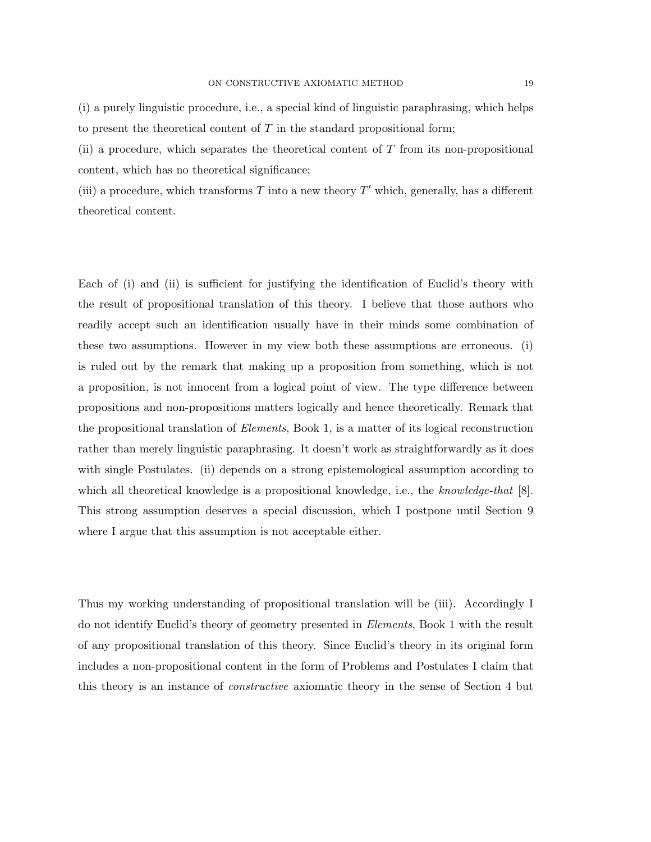(i) a purely linguistic procedure, i.e., a special kind of linguistic paraphrasing, which helps to present the theoretical content of *T* in the standard propositional form;

(ii) a procedure, which separates the theoretical content of *T* from its non-propositional content, which has no theoretical significance;

(iii) a procedure, which transforms  $T$  into a new theory  $T'$  which, generally, has a different theoretical content.

Each of (i) and (ii) is sufficient for justifying the identification of Euclid's theory with the result of propositional translation of this theory. I believe that those authors who readily accept such an identification usually have in their minds some combination of these two assumptions. However in my view both these assumptions are erroneous. (i) is ruled out by the remark that making up a proposition from something, which is not a proposition, is not innocent from a logical point of view. The type difference between propositions and non-propositions matters logically and hence theoretically. Remark that the propositional translation of *Elements*, Book 1, is a matter of its logical reconstruction rather than merely linguistic paraphrasing. It doesn't work as straightforwardly as it does with single Postulates. (ii) depends on a strong epistemological assumption according to which all theoretical knowledge is a propositional knowledge, i.e., the *knowledge-that* [8]. This strong assumption deserves a special discussion, which I postpone until Section 9 where I argue that this assumption is not acceptable either.

Thus my working understanding of propositional translation will be (iii). Accordingly I do not identify Euclid's theory of geometry presented in *Elements*, Book 1 with the result of any propositional translation of this theory. Since Euclid's theory in its original form includes a non-propositional content in the form of Problems and Postulates I claim that this theory is an instance of *constructive* axiomatic theory in the sense of Section 4 but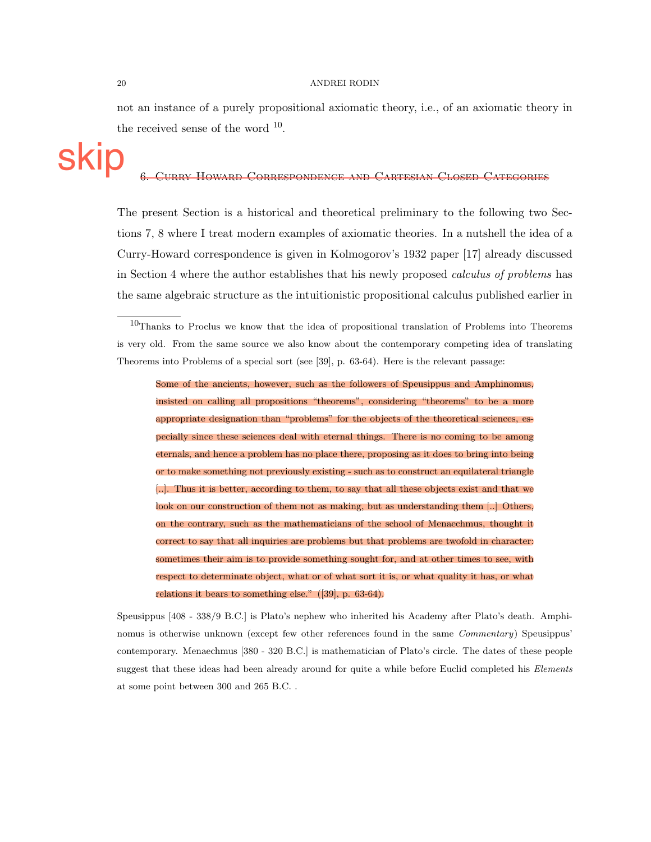not an instance of a purely propositional axiomatic theory, i.e., of an axiomatic theory in the received sense of the word  $10$ .

#### 6. Curry-Howard Correspondence and Cartesian Closed Categories

The present Section is a historical and theoretical preliminary to the following two Sections 7, 8 where I treat modern examples of axiomatic theories. In a nutshell the idea of a Curry-Howard correspondence is given in Kolmogorov's 1932 paper [17] already discussed in Section 4 where the author establishes that his newly proposed *calculus of problems* has the same algebraic structure as the intuitionistic propositional calculus published earlier in

Some of the ancients, however, such as the followers of Speusippus and Amphinomus, insisted on calling all propositions "theorems", considering "theorems" to be a more appropriate designation than "problems" for the objects of the theoretical sciences, especially since these sciences deal with eternal things. There is no coming to be among eternals, and hence a problem has no place there, proposing as it does to bring into being or to make something not previously existing - such as to construct an equilateral triangle [..]. Thus it is better, according to them, to say that all these objects exist and that we look on our construction of them not as making, but as understanding them [..] Others, on the contrary, such as the mathematicians of the school of Menaechmus, thought it correct to say that all inquiries are problems but that problems are twofold in character: sometimes their aim is to provide something sought for, and at other times to see, with respect to determinate object, what or of what sort it is, or what quality it has, or what relations it bears to something else." ([39], p. 63-64).

Speusippus [408 - 338/9 B.C.] is Plato's nephew who inherited his Academy after Plato's death. Amphinomus is otherwise unknown (except few other references found in the same *Commentary*) Speusippus' contemporary. Menaechmus [380 - 320 B.C.] is mathematician of Plato's circle. The dates of these people suggest that these ideas had been already around for quite a while before Euclid completed his *Elements* at some point between 300 and 265 B.C. .

skip

<sup>10</sup>Thanks to Proclus we know that the idea of propositional translation of Problems into Theorems is very old. From the same source we also know about the contemporary competing idea of translating Theorems into Problems of a special sort (see [39], p. 63-64). Here is the relevant passage: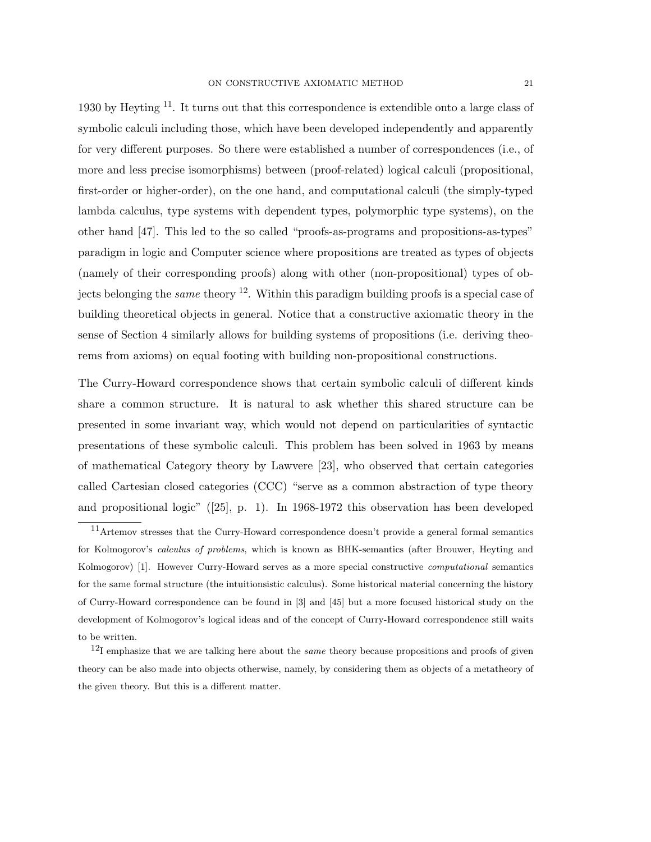1930 by Heyting  $11$ . It turns out that this correspondence is extendible onto a large class of symbolic calculi including those, which have been developed independently and apparently for very different purposes. So there were established a number of correspondences (i.e., of more and less precise isomorphisms) between (proof-related) logical calculi (propositional, first-order or higher-order), on the one hand, and computational calculi (the simply-typed lambda calculus, type systems with dependent types, polymorphic type systems), on the other hand [47]. This led to the so called "proofs-as-programs and propositions-as-types" paradigm in logic and Computer science where propositions are treated as types of objects (namely of their corresponding proofs) along with other (non-propositional) types of objects belonging the *same* theory <sup>12</sup>. Within this paradigm building proofs is a special case of building theoretical objects in general. Notice that a constructive axiomatic theory in the sense of Section 4 similarly allows for building systems of propositions (i.e. deriving theorems from axioms) on equal footing with building non-propositional constructions.

The Curry-Howard correspondence shows that certain symbolic calculi of different kinds share a common structure. It is natural to ask whether this shared structure can be presented in some invariant way, which would not depend on particularities of syntactic presentations of these symbolic calculi. This problem has been solved in 1963 by means of mathematical Category theory by Lawvere [23], who observed that certain categories called Cartesian closed categories (CCC) "serve as a common abstraction of type theory and propositional logic" ([25], p. 1). In 1968-1972 this observation has been developed

<sup>&</sup>lt;sup>11</sup>Artemov stresses that the Curry-Howard correspondence doesn't provide a general formal semantics for Kolmogorov's *calculus of problems*, which is known as BHK-semantics (after Brouwer, Heyting and Kolmogorov) [1]. However Curry-Howard serves as a more special constructive *computational* semantics for the same formal structure (the intuitionsistic calculus). Some historical material concerning the history of Curry-Howard correspondence can be found in [3] and [45] but a more focused historical study on the development of Kolmogorov's logical ideas and of the concept of Curry-Howard correspondence still waits to be written.

<sup>12</sup>I emphasize that we are talking here about the *same* theory because propositions and proofs of given theory can be also made into objects otherwise, namely, by considering them as objects of a metatheory of the given theory. But this is a different matter.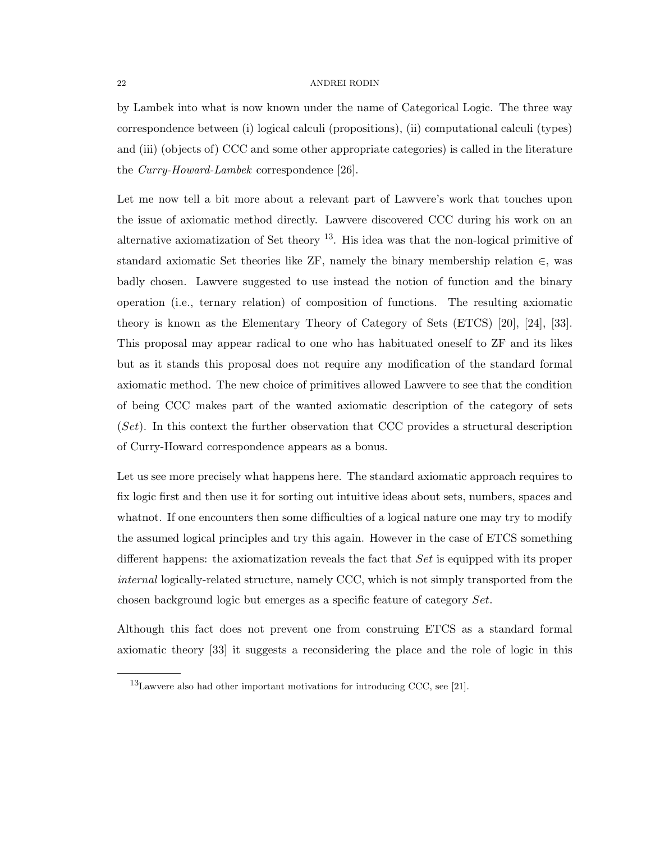by Lambek into what is now known under the name of Categorical Logic. The three way correspondence between (i) logical calculi (propositions), (ii) computational calculi (types) and (iii) (objects of) CCC and some other appropriate categories) is called in the literature the *Curry-Howard-Lambek* correspondence [26].

Let me now tell a bit more about a relevant part of Lawvere's work that touches upon the issue of axiomatic method directly. Lawvere discovered CCC during his work on an alternative axiomatization of Set theory  $^{13}$ . His idea was that the non-logical primitive of standard axiomatic Set theories like ZF, namely the binary membership relation  $\in$ , was badly chosen. Lawvere suggested to use instead the notion of function and the binary operation (i.e., ternary relation) of composition of functions. The resulting axiomatic theory is known as the Elementary Theory of Category of Sets (ETCS) [20], [24], [33]. This proposal may appear radical to one who has habituated oneself to ZF and its likes but as it stands this proposal does not require any modification of the standard formal axiomatic method. The new choice of primitives allowed Lawvere to see that the condition of being CCC makes part of the wanted axiomatic description of the category of sets (*Set*). In this context the further observation that CCC provides a structural description of Curry-Howard correspondence appears as a bonus.

Let us see more precisely what happens here. The standard axiomatic approach requires to fix logic first and then use it for sorting out intuitive ideas about sets, numbers, spaces and whatnot. If one encounters then some difficulties of a logical nature one may try to modify the assumed logical principles and try this again. However in the case of ETCS something different happens: the axiomatization reveals the fact that *Set* is equipped with its proper *internal* logically-related structure, namely CCC, which is not simply transported from the chosen background logic but emerges as a specific feature of category *Set*.

Although this fact does not prevent one from construing ETCS as a standard formal axiomatic theory [33] it suggests a reconsidering the place and the role of logic in this

<sup>13</sup>Lawvere also had other important motivations for introducing CCC, see [21].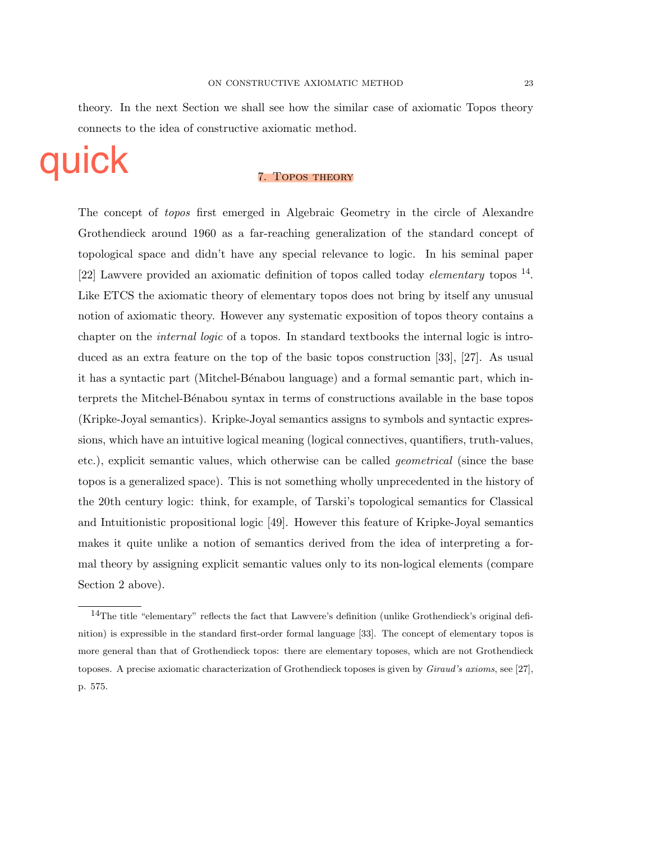theory. In the next Section we shall see how the similar case of axiomatic Topos theory connects to the idea of constructive axiomatic method.

# quick

#### 7. Topos theory

The concept of *topos* first emerged in Algebraic Geometry in the circle of Alexandre Grothendieck around 1960 as a far-reaching generalization of the standard concept of topological space and didn't have any special relevance to logic. In his seminal paper [22] Lawvere provided an axiomatic definition of topos called today *elementary* topos <sup>14</sup>. Like ETCS the axiomatic theory of elementary topos does not bring by itself any unusual notion of axiomatic theory. However any systematic exposition of topos theory contains a chapter on the *internal logic* of a topos. In standard textbooks the internal logic is introduced as an extra feature on the top of the basic topos construction [33], [27]. As usual it has a syntactic part (Mitchel-B´enabou language) and a formal semantic part, which interprets the Mitchel-B´enabou syntax in terms of constructions available in the base topos (Kripke-Joyal semantics). Kripke-Joyal semantics assigns to symbols and syntactic expressions, which have an intuitive logical meaning (logical connectives, quantifiers, truth-values, etc.), explicit semantic values, which otherwise can be called *geometrical* (since the base topos is a generalized space). This is not something wholly unprecedented in the history of the 20th century logic: think, for example, of Tarski's topological semantics for Classical and Intuitionistic propositional logic [49]. However this feature of Kripke-Joyal semantics makes it quite unlike a notion of semantics derived from the idea of interpreting a formal theory by assigning explicit semantic values only to its non-logical elements (compare Section 2 above).

<sup>14</sup>The title "elementary" reflects the fact that Lawvere's definition (unlike Grothendieck's original definition) is expressible in the standard first-order formal language [33]. The concept of elementary topos is more general than that of Grothendieck topos: there are elementary toposes, which are not Grothendieck toposes. A precise axiomatic characterization of Grothendieck toposes is given by *Giraud's axioms*, see [27], p. 575.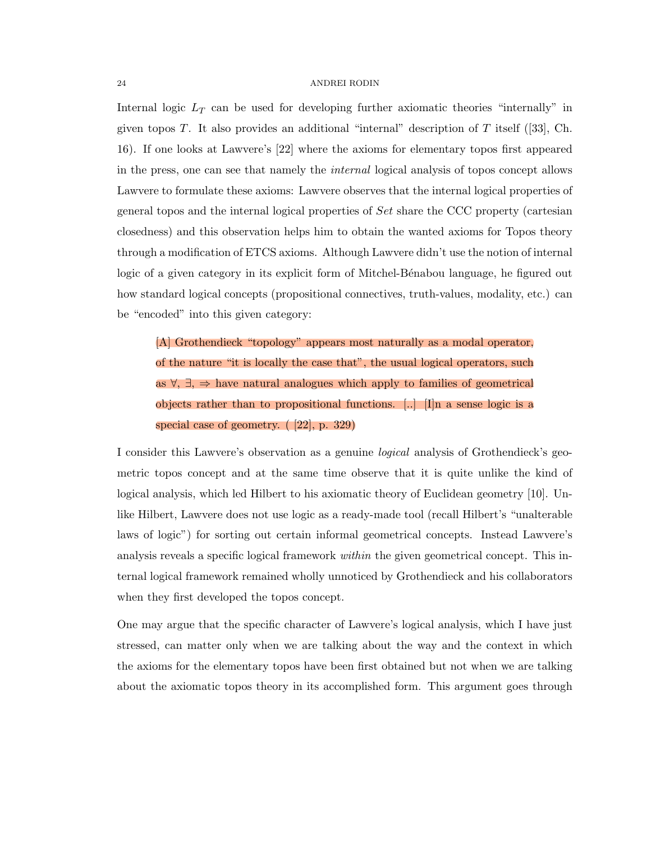Internal logic *L<sup>T</sup>* can be used for developing further axiomatic theories "internally" in given topos *T*. It also provides an additional "internal" description of *T* itself ([33], Ch. 16). If one looks at Lawvere's [22] where the axioms for elementary topos first appeared in the press, one can see that namely the *internal* logical analysis of topos concept allows Lawvere to formulate these axioms: Lawvere observes that the internal logical properties of general topos and the internal logical properties of *Set* share the CCC property (cartesian closedness) and this observation helps him to obtain the wanted axioms for Topos theory through a modification of ETCS axioms. Although Lawvere didn't use the notion of internal logic of a given category in its explicit form of Mitchel-Bénabou language, he figured out how standard logical concepts (propositional connectives, truth-values, modality, etc.) can be "encoded" into this given category:

[A] Grothendieck "topology" appears most naturally as a modal operator, of the nature "it is locally the case that", the usual logical operators, such as  $\forall$ ,  $\exists$ ,  $\Rightarrow$  have natural analogues which apply to families of geometrical objects rather than to propositional functions.  $\Box$  In a sense logic is a special case of geometry. ( [22], p. 329)

I consider this Lawvere's observation as a genuine *logical* analysis of Grothendieck's geometric topos concept and at the same time observe that it is quite unlike the kind of logical analysis, which led Hilbert to his axiomatic theory of Euclidean geometry [10]. Unlike Hilbert, Lawvere does not use logic as a ready-made tool (recall Hilbert's "unalterable laws of logic") for sorting out certain informal geometrical concepts. Instead Lawvere's analysis reveals a specific logical framework *within* the given geometrical concept. This internal logical framework remained wholly unnoticed by Grothendieck and his collaborators when they first developed the topos concept.

One may argue that the specific character of Lawvere's logical analysis, which I have just stressed, can matter only when we are talking about the way and the context in which the axioms for the elementary topos have been first obtained but not when we are talking about the axiomatic topos theory in its accomplished form. This argument goes through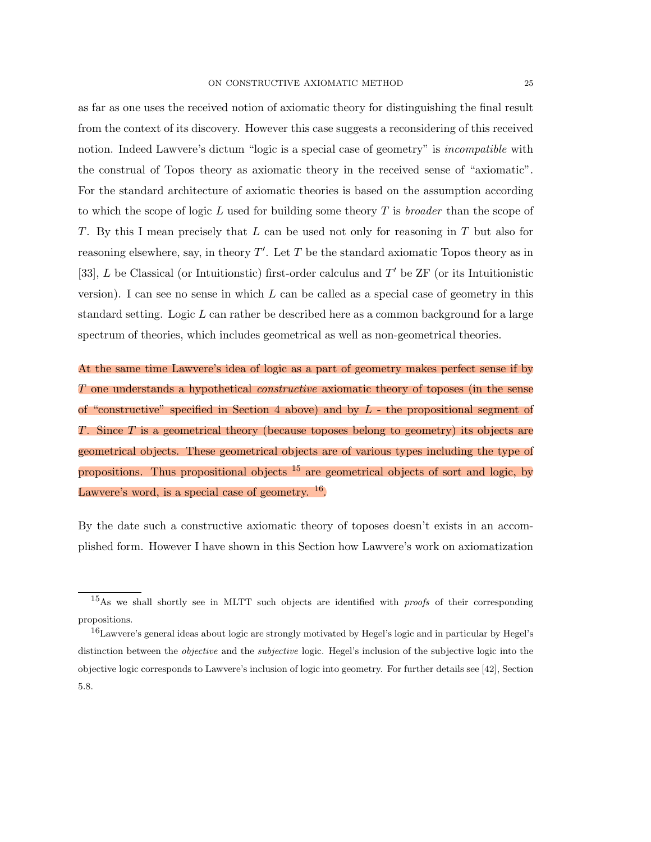as far as one uses the received notion of axiomatic theory for distinguishing the final result from the context of its discovery. However this case suggests a reconsidering of this received notion. Indeed Lawvere's dictum "logic is a special case of geometry" is *incompatible* with the construal of Topos theory as axiomatic theory in the received sense of "axiomatic". For the standard architecture of axiomatic theories is based on the assumption according to which the scope of logic *L* used for building some theory *T* is *broader* than the scope of *T*. By this I mean precisely that *L* can be used not only for reasoning in *T* but also for reasoning elsewhere, say, in theory  $T'$ . Let  $T$  be the standard axiomatic Topos theory as in [33], *L* be Classical (or Intuitionstic) first-order calculus and *T'* be ZF (or its Intuitionistic version). I can see no sense in which *L* can be called as a special case of geometry in this standard setting. Logic *L* can rather be described here as a common background for a large spectrum of theories, which includes geometrical as well as non-geometrical theories.

At the same time Lawvere's idea of logic as a part of geometry makes perfect sense if by *T* one understands a hypothetical *constructive* axiomatic theory of toposes (in the sense of "constructive" specified in Section 4 above) and by *L* - the propositional segment of *T*. Since *T* is a geometrical theory (because toposes belong to geometry) its objects are geometrical objects. These geometrical objects are of various types including the type of propositions. Thus propositional objects  $15$  are geometrical objects of sort and logic, by Lawvere's word, is a special case of geometry.  $16$ .

By the date such a constructive axiomatic theory of toposes doesn't exists in an accomplished form. However I have shown in this Section how Lawvere's work on axiomatization

<sup>15</sup>As we shall shortly see in MLTT such objects are identified with *proofs* of their corresponding propositions.

<sup>16</sup>Lawvere's general ideas about logic are strongly motivated by Hegel's logic and in particular by Hegel's distinction between the *objective* and the *subjective* logic. Hegel's inclusion of the subjective logic into the objective logic corresponds to Lawvere's inclusion of logic into geometry. For further details see [42], Section 5.8.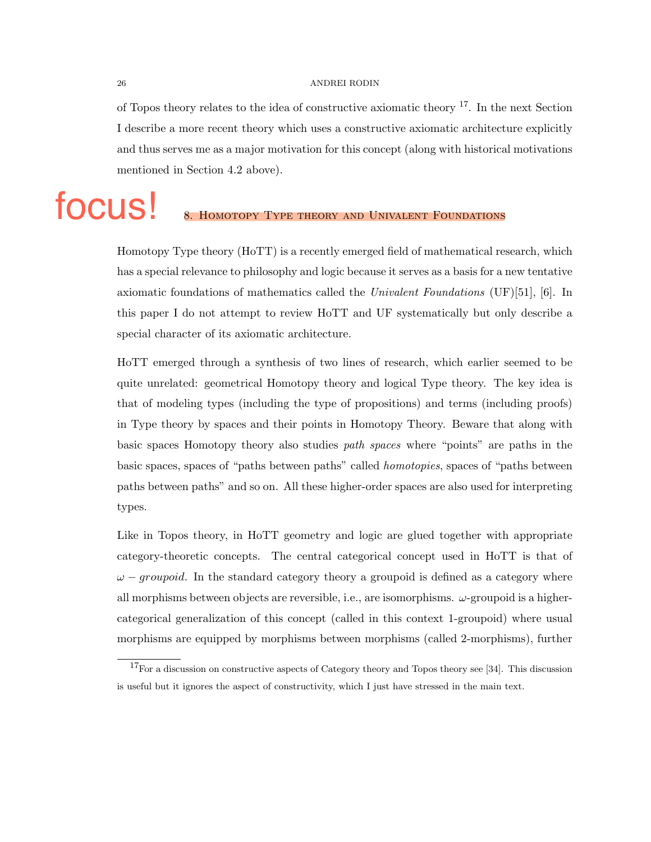of Topos theory relates to the idea of constructive axiomatic theory <sup>17</sup>. In the next Section I describe a more recent theory which uses a constructive axiomatic architecture explicitly and thus serves me as a major motivation for this concept (along with historical motivations mentioned in Section 4.2 above).

## HOMOTOPY TYPE THEORY AND UNIVALENT FOUNDATIONS focus!

Homotopy Type theory (HoTT) is a recently emerged field of mathematical research, which has a special relevance to philosophy and logic because it serves as a basis for a new tentative axiomatic foundations of mathematics called the *Univalent Foundations* (UF)[51], [6]. In this paper I do not attempt to review HoTT and UF systematically but only describe a special character of its axiomatic architecture.

HoTT emerged through a synthesis of two lines of research, which earlier seemed to be quite unrelated: geometrical Homotopy theory and logical Type theory. The key idea is that of modeling types (including the type of propositions) and terms (including proofs) in Type theory by spaces and their points in Homotopy Theory. Beware that along with basic spaces Homotopy theory also studies *path spaces* where "points" are paths in the basic spaces, spaces of "paths between paths" called *homotopies*, spaces of "paths between paths between paths" and so on. All these higher-order spaces are also used for interpreting types.

Like in Topos theory, in HoTT geometry and logic are glued together with appropriate category-theoretic concepts. The central categorical concept used in HoTT is that of  $\omega$  – groupoid. In the standard category theory a groupoid is defined as a category where all morphisms between objects are reversible, i.e., are isomorphisms.  $\omega$ -groupoid is a highercategorical generalization of this concept (called in this context 1-groupoid) where usual morphisms are equipped by morphisms between morphisms (called 2-morphisms), further

<sup>&</sup>lt;sup>17</sup>For a discussion on constructive aspects of Category theory and Topos theory see [34]. This discussion is useful but it ignores the aspect of constructivity, which I just have stressed in the main text.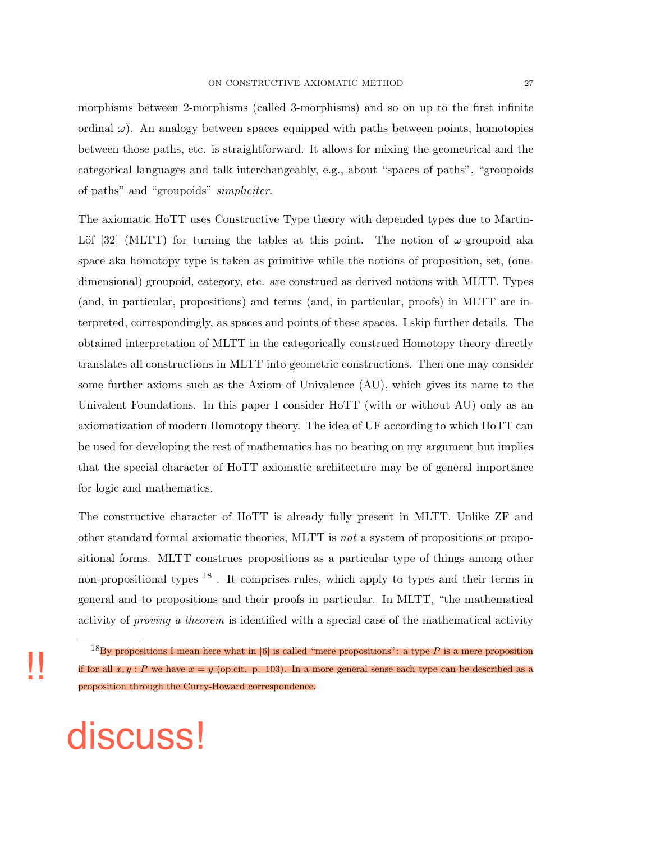morphisms between 2-morphisms (called 3-morphisms) and so on up to the first infinite ordinal  $\omega$ ). An analogy between spaces equipped with paths between points, homotopies between those paths, etc. is straightforward. It allows for mixing the geometrical and the categorical languages and talk interchangeably, e.g., about "spaces of paths", "groupoids of paths" and "groupoids" *simpliciter*.

The axiomatic HoTT uses Constructive Type theory with depended types due to Martin-Löf [32] (MLTT) for turning the tables at this point. The notion of  $\omega$ -groupoid aka space aka homotopy type is taken as primitive while the notions of proposition, set, (onedimensional) groupoid, category, etc. are construed as derived notions with MLTT. Types (and, in particular, propositions) and terms (and, in particular, proofs) in MLTT are interpreted, correspondingly, as spaces and points of these spaces. I skip further details. The obtained interpretation of MLTT in the categorically construed Homotopy theory directly translates all constructions in MLTT into geometric constructions. Then one may consider some further axioms such as the Axiom of Univalence (AU), which gives its name to the Univalent Foundations. In this paper I consider HoTT (with or without AU) only as an axiomatization of modern Homotopy theory. The idea of UF according to which HoTT can be used for developing the rest of mathematics has no bearing on my argument but implies that the special character of HoTT axiomatic architecture may be of general importance for logic and mathematics.

The constructive character of HoTT is already fully present in MLTT. Unlike ZF and other standard formal axiomatic theories, MLTT is *not* a system of propositions or propositional forms. MLTT construes propositions as a particular type of things among other non-propositional types  $18$ . It comprises rules, which apply to types and their terms in general and to propositions and their proofs in particular. In MLTT, "the mathematical activity of *proving a theorem* is identified with a special case of the mathematical activity

discuss!

!!

<sup>&</sup>lt;sup>18</sup>By propositions I mean here what in [6] is called "mere propositions": a type P is a mere proposition if for all  $x, y : P$  we have  $x = y$  (op.cit. p. 103). In a more general sense each type can be described as a proposition through the Curry-Howard correspondence.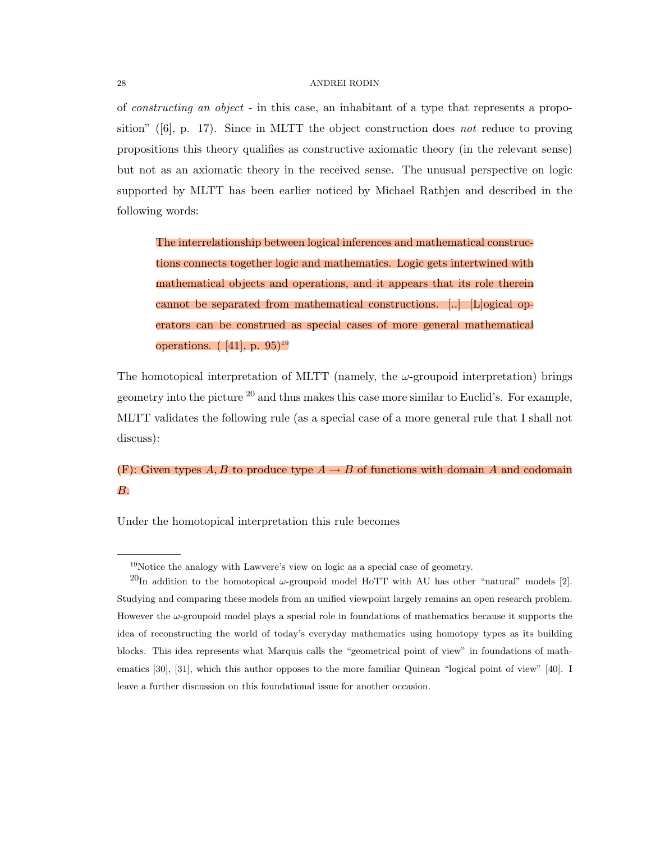of *constructing an object* - in this case, an inhabitant of a type that represents a proposition" ([6], p. 17). Since in MLTT the object construction does *not* reduce to proving propositions this theory qualifies as constructive axiomatic theory (in the relevant sense) but not as an axiomatic theory in the received sense. The unusual perspective on logic supported by MLTT has been earlier noticed by Michael Rathjen and described in the following words:

The interrelationship between logical inferences and mathematical constructions connects together logic and mathematics. Logic gets intertwined with mathematical objects and operations, and it appears that its role therein cannot be separated from mathematical constructions. [..] [L]ogical operators can be construed as special cases of more general mathematical operations.  $([41], p. 95)^{19}$ 

The homotopical interpretation of MLTT (namely, the  $\omega$ -groupoid interpretation) brings geometry into the picture  $^{20}$  and thus makes this case more similar to Euclid's. For example, MLTT validates the following rule (as a special case of a more general rule that I shall not discuss):

### (F): Given types A, B to produce type  $A \rightarrow B$  of functions with domain A and codomain *B*.

Under the homotopical interpretation this rule becomes

<sup>&</sup>lt;sup>19</sup>Notice the analogy with Lawvere's view on logic as a special case of geometry.

<sup>&</sup>lt;sup>20</sup>In addition to the homotopical  $\omega$ -groupoid model HoTT with AU has other "natural" models [2]. Studying and comparing these models from an unified viewpoint largely remains an open research problem. However the  $\omega$ -groupoid model plays a special role in foundations of mathematics because it supports the idea of reconstructing the world of today's everyday mathematics using homotopy types as its building blocks. This idea represents what Marquis calls the "geometrical point of view" in foundations of mathematics [30], [31], which this author opposes to the more familiar Quinean "logical point of view" [40]. I leave a further discussion on this foundational issue for another occasion.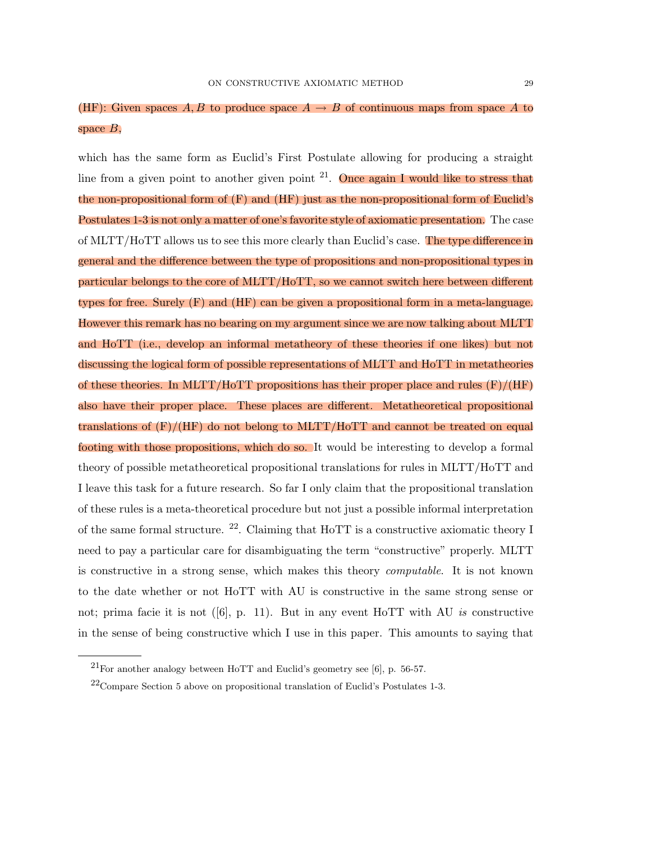## (HF): Given spaces A, B to produce space  $A \rightarrow B$  of continuous maps from space A to space *B*,

which has the same form as Euclid's First Postulate allowing for producing a straight line from a given point to another given point  $2^1$ . Once again I would like to stress that the non-propositional form of  $(F)$  and  $(HF)$  just as the non-propositional form of Euclid's Postulates 1-3 is not only a matter of one's favorite style of axiomatic presentation. The case of MLTT/HoTT allows us to see this more clearly than Euclid's case. The type difference in general and the difference between the type of propositions and non-propositional types in particular belongs to the core of MLTT/HoTT, so we cannot switch here between different types for free. Surely (F) and (HF) can be given a propositional form in a meta-language. However this remark has no bearing on my argument since we are now talking about MLTT and HoTT (i.e., develop an informal metatheory of these theories if one likes) but not discussing the logical form of possible representations of MLTT and HoTT in metatheories of these theories. In MLTT/HoTT propositions has their proper place and rules (F)/(HF) also have their proper place. These places are different. Metatheoretical propositional translations of (F)/(HF) do not belong to MLTT/HoTT and cannot be treated on equal footing with those propositions, which do so. It would be interesting to develop a formal theory of possible metatheoretical propositional translations for rules in MLTT/HoTT and I leave this task for a future research. So far I only claim that the propositional translation of these rules is a meta-theoretical procedure but not just a possible informal interpretation of the same formal structure.  $22$ . Claiming that HoTT is a constructive axiomatic theory I need to pay a particular care for disambiguating the term "constructive" properly. MLTT is constructive in a strong sense, which makes this theory *computable*. It is not known to the date whether or not HoTT with AU is constructive in the same strong sense or not; prima facie it is not ([6], p. 11). But in any event HoTT with AU *is* constructive in the sense of being constructive which I use in this paper. This amounts to saying that

 $^{21}$ For another analogy between HoTT and Euclid's geometry see [6], p. 56-57.

 $^{22}$ Compare Section 5 above on propositional translation of Euclid's Postulates 1-3.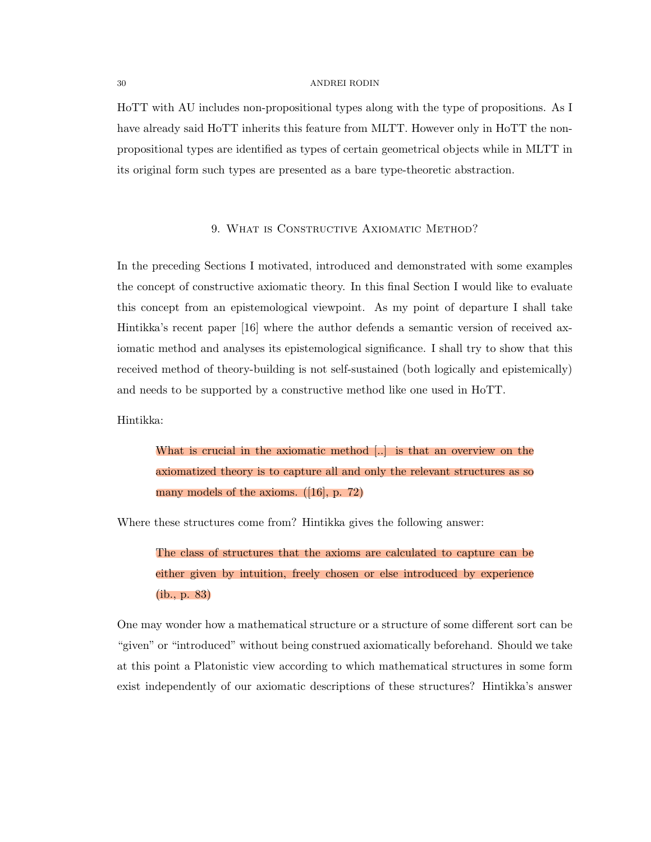HoTT with AU includes non-propositional types along with the type of propositions. As I have already said HoTT inherits this feature from MLTT. However only in HoTT the nonpropositional types are identified as types of certain geometrical objects while in MLTT in its original form such types are presented as a bare type-theoretic abstraction.

#### 9. WHAT IS CONSTRUCTIVE AXIOMATIC METHOD?

In the preceding Sections I motivated, introduced and demonstrated with some examples the concept of constructive axiomatic theory. In this final Section I would like to evaluate this concept from an epistemological viewpoint. As my point of departure I shall take Hintikka's recent paper [16] where the author defends a semantic version of received axiomatic method and analyses its epistemological significance. I shall try to show that this received method of theory-building is not self-sustained (both logically and epistemically) and needs to be supported by a constructive method like one used in HoTT.

Hintikka:

What is crucial in the axiomatic method [..] is that an overview on the axiomatized theory is to capture all and only the relevant structures as so many models of the axioms. ([16], p. 72)

Where these structures come from? Hintikka gives the following answer:

The class of structures that the axioms are calculated to capture can be either given by intuition, freely chosen or else introduced by experience (ib., p. 83)

One may wonder how a mathematical structure or a structure of some different sort can be "given" or "introduced" without being construed axiomatically beforehand. Should we take at this point a Platonistic view according to which mathematical structures in some form exist independently of our axiomatic descriptions of these structures? Hintikka's answer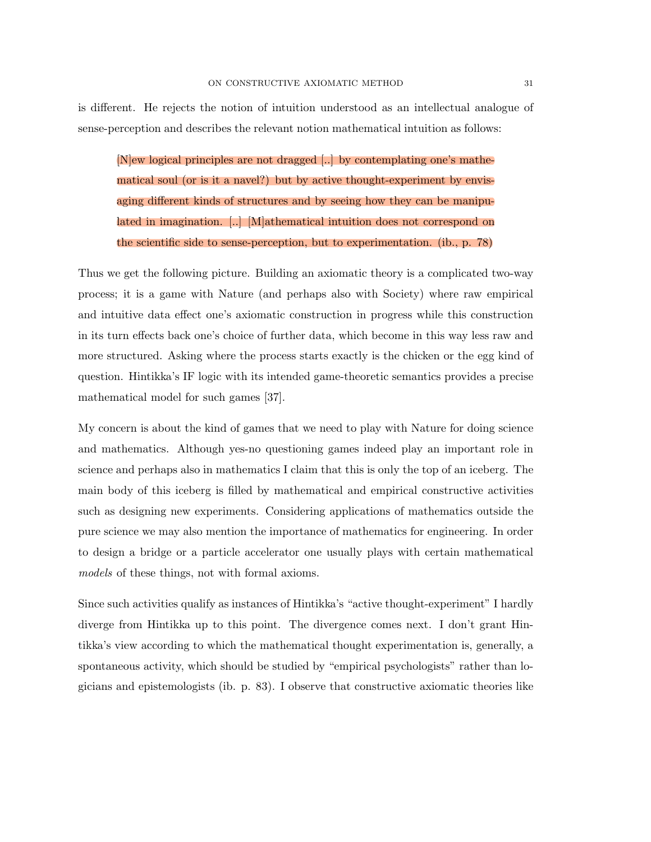is different. He rejects the notion of intuition understood as an intellectual analogue of sense-perception and describes the relevant notion mathematical intuition as follows:

[N]ew logical principles are not dragged [..] by contemplating one's mathematical soul (or is it a navel?) but by active thought-experiment by envisaging different kinds of structures and by seeing how they can be manipulated in imagination. [..] [M]athematical intuition does not correspond on the scientific side to sense-perception, but to experimentation. (ib., p. 78)

Thus we get the following picture. Building an axiomatic theory is a complicated two-way process; it is a game with Nature (and perhaps also with Society) where raw empirical and intuitive data effect one's axiomatic construction in progress while this construction in its turn effects back one's choice of further data, which become in this way less raw and more structured. Asking where the process starts exactly is the chicken or the egg kind of question. Hintikka's IF logic with its intended game-theoretic semantics provides a precise mathematical model for such games [37].

My concern is about the kind of games that we need to play with Nature for doing science and mathematics. Although yes-no questioning games indeed play an important role in science and perhaps also in mathematics I claim that this is only the top of an iceberg. The main body of this iceberg is filled by mathematical and empirical constructive activities such as designing new experiments. Considering applications of mathematics outside the pure science we may also mention the importance of mathematics for engineering. In order to design a bridge or a particle accelerator one usually plays with certain mathematical *models* of these things, not with formal axioms.

Since such activities qualify as instances of Hintikka's "active thought-experiment" I hardly diverge from Hintikka up to this point. The divergence comes next. I don't grant Hintikka's view according to which the mathematical thought experimentation is, generally, a spontaneous activity, which should be studied by "empirical psychologists" rather than logicians and epistemologists (ib. p. 83). I observe that constructive axiomatic theories like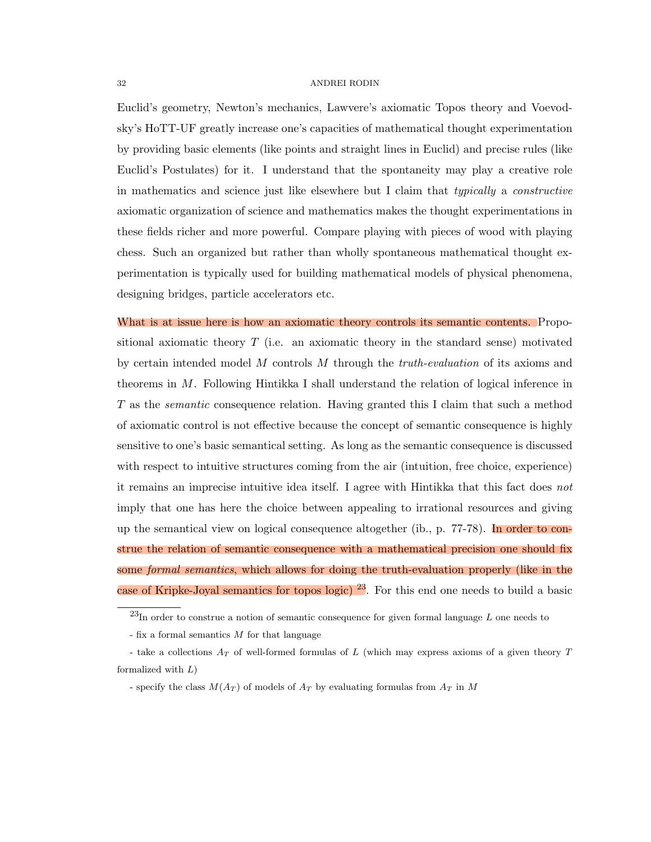Euclid's geometry, Newton's mechanics, Lawvere's axiomatic Topos theory and Voevodsky's HoTT-UF greatly increase one's capacities of mathematical thought experimentation by providing basic elements (like points and straight lines in Euclid) and precise rules (like Euclid's Postulates) for it. I understand that the spontaneity may play a creative role in mathematics and science just like elsewhere but I claim that *typically* a *constructive* axiomatic organization of science and mathematics makes the thought experimentations in these fields richer and more powerful. Compare playing with pieces of wood with playing chess. Such an organized but rather than wholly spontaneous mathematical thought experimentation is typically used for building mathematical models of physical phenomena, designing bridges, particle accelerators etc.

What is at issue here is how an axiomatic theory controls its semantic contents. Propositional axiomatic theory *T* (i.e. an axiomatic theory in the standard sense) motivated by certain intended model *M* controls *M* through the *truth-evaluation* of its axioms and theorems in *M*. Following Hintikka I shall understand the relation of logical inference in *T* as the *semantic* consequence relation. Having granted this I claim that such a method of axiomatic control is not effective because the concept of semantic consequence is highly sensitive to one's basic semantical setting. As long as the semantic consequence is discussed with respect to intuitive structures coming from the air (intuition, free choice, experience) it remains an imprecise intuitive idea itself. I agree with Hintikka that this fact does *not* imply that one has here the choice between appealing to irrational resources and giving up the semantical view on logical consequence altogether (ib., p. 77-78). In order to construe the relation of semantic consequence with a mathematical precision one should fix some *formal semantics*, which allows for doing the truth-evaluation properly (like in the case of Kripke-Joyal semantics for topos logic)  $^{23}$ . For this end one needs to build a basic

<sup>23</sup>In order to construe a notion of semantic consequence for given formal language *L* one needs to

<sup>-</sup> fix a formal semantics *M* for that language

<sup>-</sup> take a collections *A<sup>T</sup>* of well-formed formulas of *L* (which may express axioms of a given theory *T* formalized with *L*)

<sup>-</sup> specify the class *M*(*A<sup>T</sup>* ) of models of *A<sup>T</sup>* by evaluating formulas from *A<sup>T</sup>* in *M*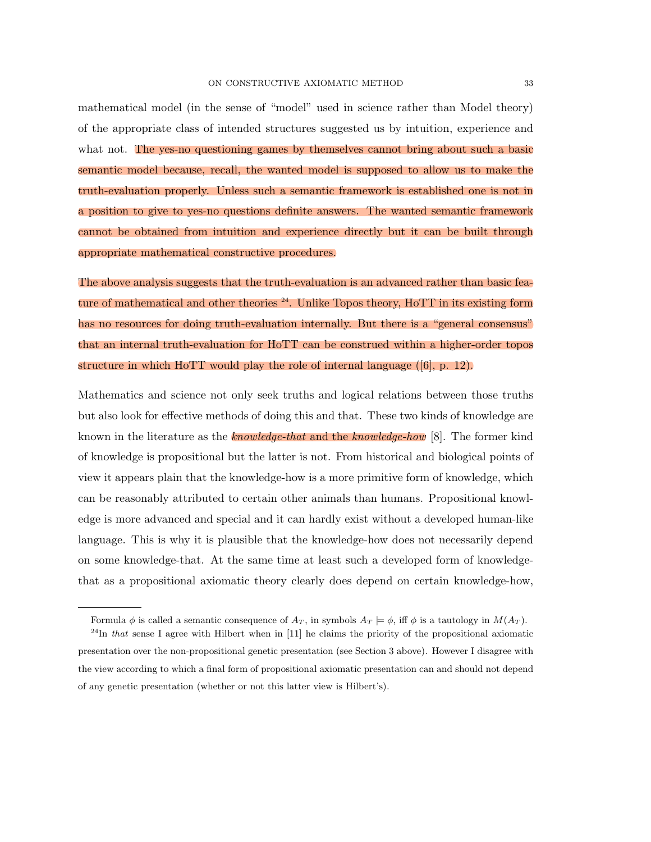mathematical model (in the sense of "model" used in science rather than Model theory) of the appropriate class of intended structures suggested us by intuition, experience and what not. The yes-no questioning games by themselves cannot bring about such a basic semantic model because, recall, the wanted model is supposed to allow us to make the truth-evaluation properly. Unless such a semantic framework is established one is not in a position to give to yes-no questions definite answers. The wanted semantic framework cannot be obtained from intuition and experience directly but it can be built through appropriate mathematical constructive procedures.

The above analysis suggests that the truth-evaluation is an advanced rather than basic feature of mathematical and other theories  $^{24}$ . Unlike Topos theory, HoTT in its existing form has no resources for doing truth-evaluation internally. But there is a "general consensus" that an internal truth-evaluation for HoTT can be construed within a higher-order topos structure in which HoTT would play the role of internal language ([6], p. 12).

Mathematics and science not only seek truths and logical relations between those truths but also look for effective methods of doing this and that. These two kinds of knowledge are known in the literature as the *knowledge-that* and the *knowledge-how* [8]. The former kind of knowledge is propositional but the latter is not. From historical and biological points of view it appears plain that the knowledge-how is a more primitive form of knowledge, which can be reasonably attributed to certain other animals than humans. Propositional knowledge is more advanced and special and it can hardly exist without a developed human-like language. This is why it is plausible that the knowledge-how does not necessarily depend on some knowledge-that. At the same time at least such a developed form of knowledgethat as a propositional axiomatic theory clearly does depend on certain knowledge-how,

Formula  $\phi$  is called a semantic consequence of  $A_T$ , in symbols  $A_T \models \phi$ , iff  $\phi$  is a tautology in  $M(A_T)$ .

<sup>&</sup>lt;sup>24</sup>In *that* sense I agree with Hilbert when in [11] he claims the priority of the propositional axiomatic presentation over the non-propositional genetic presentation (see Section 3 above). However I disagree with the view according to which a final form of propositional axiomatic presentation can and should not depend of any genetic presentation (whether or not this latter view is Hilbert's).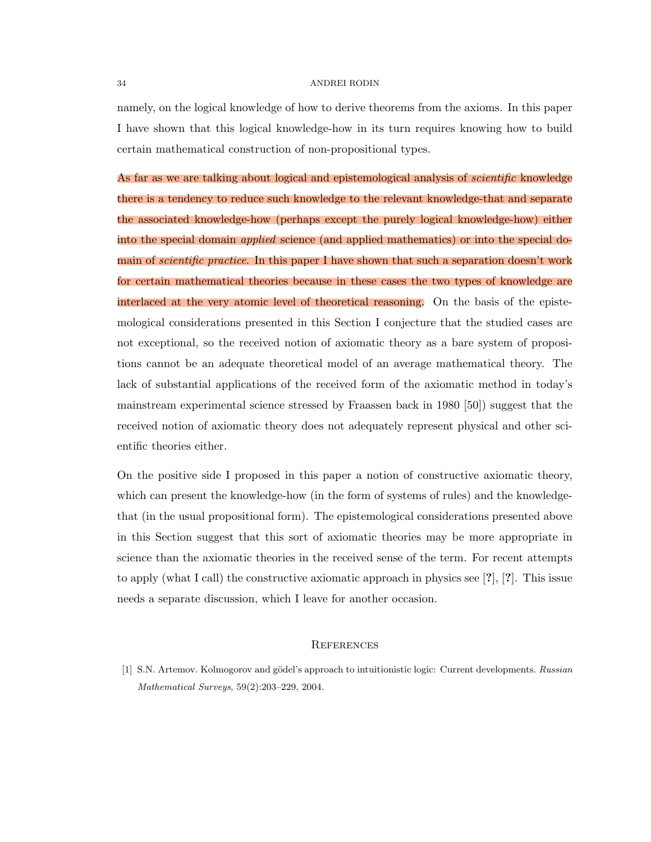namely, on the logical knowledge of how to derive theorems from the axioms. In this paper I have shown that this logical knowledge-how in its turn requires knowing how to build certain mathematical construction of non-propositional types.

As far as we are talking about logical and epistemological analysis of *scientific* knowledge there is a tendency to reduce such knowledge to the relevant knowledge-that and separate the associated knowledge-how (perhaps except the purely logical knowledge-how) either into the special domain *applied* science (and applied mathematics) or into the special domain of *scientific practice*. In this paper I have shown that such a separation doesn't work for certain mathematical theories because in these cases the two types of knowledge are interlaced at the very atomic level of theoretical reasoning. On the basis of the epistemological considerations presented in this Section I conjecture that the studied cases are not exceptional, so the received notion of axiomatic theory as a bare system of propositions cannot be an adequate theoretical model of an average mathematical theory. The lack of substantial applications of the received form of the axiomatic method in today's mainstream experimental science stressed by Fraassen back in 1980 [50]) suggest that the received notion of axiomatic theory does not adequately represent physical and other scientific theories either.

On the positive side I proposed in this paper a notion of constructive axiomatic theory, which can present the knowledge-how (in the form of systems of rules) and the knowledgethat (in the usual propositional form). The epistemological considerations presented above in this Section suggest that this sort of axiomatic theories may be more appropriate in science than the axiomatic theories in the received sense of the term. For recent attempts to apply (what I call) the constructive axiomatic approach in physics see  $[?], [?].$  This issue needs a separate discussion, which I leave for another occasion.

#### **REFERENCES**

[1] S.N. Artemov. Kolmogorov and gödel's approach to intuitionistic logic: Current developments. *Russian Mathematical Surveys*, 59(2):203–229, 2004.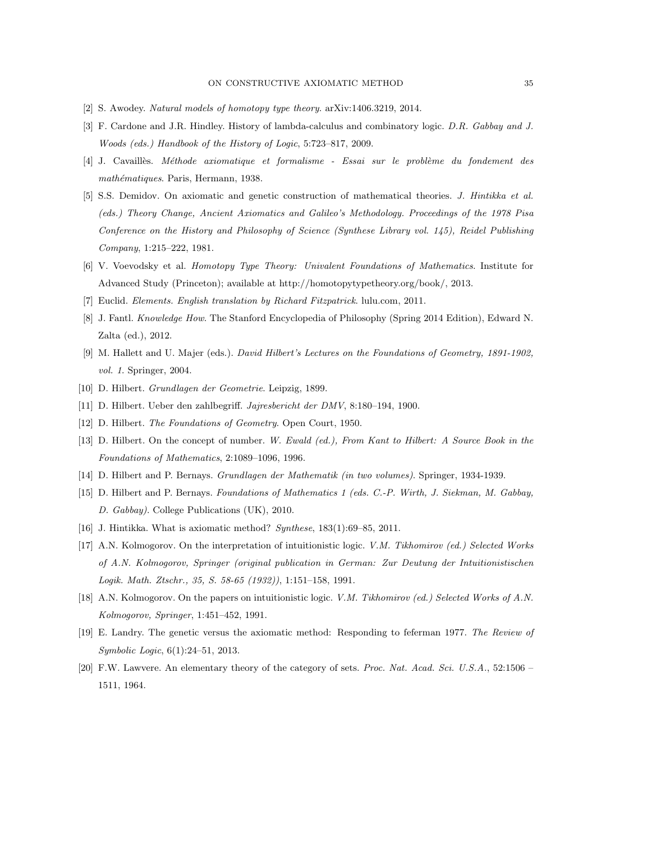- [2] S. Awodey. *Natural models of homotopy type theory*. arXiv:1406.3219, 2014.
- [3] F. Cardone and J.R. Hindley. History of lambda-calculus and combinatory logic. *D.R. Gabbay and J. Woods (eds.) Handbook of the History of Logic*, 5:723–817, 2009.
- [4] J. Cavaill`es. *M´ethode axiomatique et formalisme Essai sur le probl`eme du fondement des math´ematiques*. Paris, Hermann, 1938.
- [5] S.S. Demidov. On axiomatic and genetic construction of mathematical theories. *J. Hintikka et al. (eds.) Theory Change, Ancient Axiomatics and Galileo's Methodology. Proceedings of the 1978 Pisa Conference on the History and Philosophy of Science (Synthese Library vol. 145), Reidel Publishing Company*, 1:215–222, 1981.
- [6] V. Voevodsky et al. *Homotopy Type Theory: Univalent Foundations of Mathematics*. Institute for Advanced Study (Princeton); available at http://homotopytypetheory.org/book/, 2013.
- [7] Euclid. *Elements. English translation by Richard Fitzpatrick*. lulu.com, 2011.
- [8] J. Fantl. *Knowledge How*. The Stanford Encyclopedia of Philosophy (Spring 2014 Edition), Edward N. Zalta (ed.), 2012.
- [9] M. Hallett and U. Majer (eds.). *David Hilbert's Lectures on the Foundations of Geometry, 1891-1902, vol. 1*. Springer, 2004.
- [10] D. Hilbert. *Grundlagen der Geometrie*. Leipzig, 1899.
- [11] D. Hilbert. Ueber den zahlbegri↵. *Jajresbericht der DMV*, 8:180–194, 1900.
- [12] D. Hilbert. *The Foundations of Geometry*. Open Court, 1950.
- [13] D. Hilbert. On the concept of number. *W. Ewald (ed.), From Kant to Hilbert: A Source Book in the Foundations of Mathematics*, 2:1089–1096, 1996.
- [14] D. Hilbert and P. Bernays. *Grundlagen der Mathematik (in two volumes)*. Springer, 1934-1939.
- [15] D. Hilbert and P. Bernays. *Foundations of Mathematics 1 (eds. C.-P. Wirth, J. Siekman, M. Gabbay, D. Gabbay)*. College Publications (UK), 2010.
- [16] J. Hintikka. What is axiomatic method? *Synthese*, 183(1):69–85, 2011.
- [17] A.N. Kolmogorov. On the interpretation of intuitionistic logic. *V.M. Tikhomirov (ed.) Selected Works of A.N. Kolmogorov, Springer (original publication in German: Zur Deutung der Intuitionistischen Logik. Math. Ztschr., 35, S. 58-65 (1932))*, 1:151–158, 1991.
- [18] A.N. Kolmogorov. On the papers on intuitionistic logic. *V.M. Tikhomirov (ed.) Selected Works of A.N. Kolmogorov, Springer*, 1:451–452, 1991.
- [19] E. Landry. The genetic versus the axiomatic method: Responding to feferman 1977. *The Review of Symbolic Logic*, 6(1):24–51, 2013.
- [20] F.W. Lawvere. An elementary theory of the category of sets. *Proc. Nat. Acad. Sci. U.S.A.*, 52:1506 1511, 1964.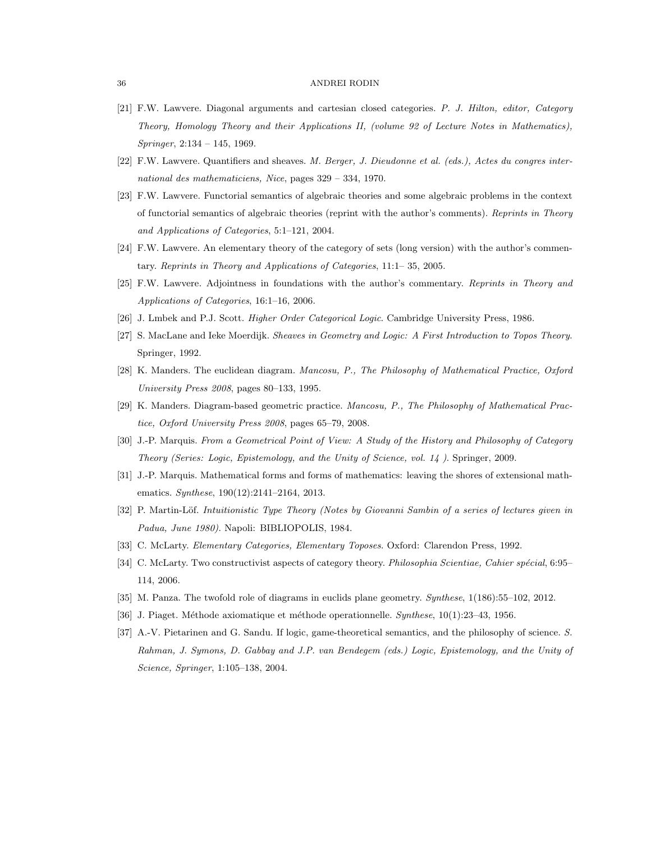- [21] F.W. Lawvere. Diagonal arguments and cartesian closed categories. *P. J. Hilton, editor, Category Theory, Homology Theory and their Applications II, (volume 92 of Lecture Notes in Mathematics), Springer*, 2:134 – 145, 1969.
- [22] F.W. Lawvere. Quantifiers and sheaves. *M. Berger, J. Dieudonne et al. (eds.), Actes du congres international des mathematiciens, Nice*, pages 329 – 334, 1970.
- [23] F.W. Lawvere. Functorial semantics of algebraic theories and some algebraic problems in the context of functorial semantics of algebraic theories (reprint with the author's comments). *Reprints in Theory and Applications of Categories*, 5:1–121, 2004.
- [24] F.W. Lawvere. An elementary theory of the category of sets (long version) with the author's commentary. *Reprints in Theory and Applications of Categories*, 11:1– 35, 2005.
- [25] F.W. Lawvere. Adjointness in foundations with the author's commentary. *Reprints in Theory and Applications of Categories*, 16:1–16, 2006.
- [26] J. Lmbek and P.J. Scott. *Higher Order Categorical Logic*. Cambridge University Press, 1986.
- [27] S. MacLane and Ieke Moerdijk. *Sheaves in Geometry and Logic: A First Introduction to Topos Theory*. Springer, 1992.
- [28] K. Manders. The euclidean diagram. *Mancosu, P., The Philosophy of Mathematical Practice, Oxford University Press 2008*, pages 80–133, 1995.
- [29] K. Manders. Diagram-based geometric practice. *Mancosu, P., The Philosophy of Mathematical Practice, Oxford University Press 2008*, pages 65–79, 2008.
- [30] J.-P. Marquis. *From a Geometrical Point of View: A Study of the History and Philosophy of Category Theory (Series: Logic, Epistemology, and the Unity of Science, vol. 14 )*. Springer, 2009.
- [31] J.-P. Marquis. Mathematical forms and forms of mathematics: leaving the shores of extensional mathematics. *Synthese*, 190(12):2141–2164, 2013.
- [32] P. Martin-Löf. *Intuitionistic Type Theory (Notes by Giovanni Sambin of a series of lectures given in Padua, June 1980)*. Napoli: BIBLIOPOLIS, 1984.
- [33] C. McLarty. *Elementary Categories, Elementary Toposes*. Oxford: Clarendon Press, 1992.
- [34] C. McLarty. Two constructivist aspects of category theory. *Philosophia Scientiae, Cahier spécial*, 6:95– 114, 2006.
- [35] M. Panza. The twofold role of diagrams in euclids plane geometry. *Synthese*, 1(186):55–102, 2012.
- [36] J. Piaget. M´ethode axiomatique et m´ethode operationnelle. *Synthese*, 10(1):23–43, 1956.
- [37] A.-V. Pietarinen and G. Sandu. If logic, game-theoretical semantics, and the philosophy of science. *S. Rahman, J. Symons, D. Gabbay and J.P. van Bendegem (eds.) Logic, Epistemology, and the Unity of Science, Springer*, 1:105–138, 2004.